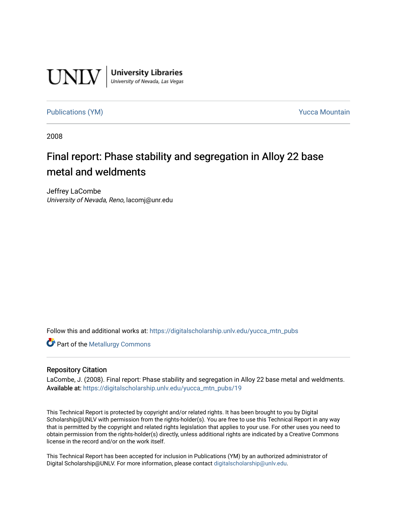

**University Libraries**<br>University of Nevada, Las Vegas

[Publications \(YM\)](https://digitalscholarship.unlv.edu/yucca_mtn_pubs) **Publications** (YM) **Publications** (YM)

2008

# Final report: Phase stability and segregation in Alloy 22 base metal and weldments

Jeffrey LaCombe University of Nevada, Reno, lacomj@unr.edu

Follow this and additional works at: [https://digitalscholarship.unlv.edu/yucca\\_mtn\\_pubs](https://digitalscholarship.unlv.edu/yucca_mtn_pubs?utm_source=digitalscholarship.unlv.edu%2Fyucca_mtn_pubs%2F19&utm_medium=PDF&utm_campaign=PDFCoverPages)

**Part of the Metallurgy Commons** 

### Repository Citation

LaCombe, J. (2008). Final report: Phase stability and segregation in Alloy 22 base metal and weldments. Available at: [https://digitalscholarship.unlv.edu/yucca\\_mtn\\_pubs/19](https://digitalscholarship.unlv.edu/yucca_mtn_pubs/19) 

This Technical Report is protected by copyright and/or related rights. It has been brought to you by Digital Scholarship@UNLV with permission from the rights-holder(s). You are free to use this Technical Report in any way that is permitted by the copyright and related rights legislation that applies to your use. For other uses you need to obtain permission from the rights-holder(s) directly, unless additional rights are indicated by a Creative Commons license in the record and/or on the work itself.

This Technical Report has been accepted for inclusion in Publications (YM) by an authorized administrator of Digital Scholarship@UNLV. For more information, please contact [digitalscholarship@unlv.edu](mailto:digitalscholarship@unlv.edu).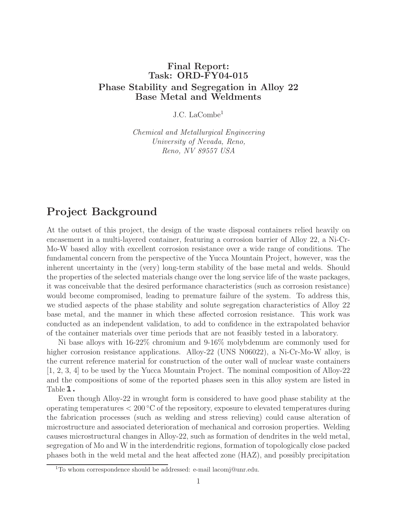# **Final Report: Task: ORD-FY04-015 Phase Stability and Segregation in Alloy 22 Base Metal and Weldments**

J.C. LaCombe<sup>1</sup>

Chemical and Metallurgical Engineering University of Nevada, Reno, Reno, NV 89557 USA

# **Project Background**

At the outset of this project, the design of the waste disposal containers relied heavily on encasement in a multi-layered container, featuring a corrosion barrier of Alloy 22, a Ni-Cr-Mo-W based alloy with excellent corrosion resistance over a wide range of conditions. The fundamental concern from the perspective of the Yucca Mountain Project, however, was the inherent uncertainty in the (very) long-term stability of the base metal and welds. Should the properties of the selected materials change over the long service life of the waste packages, it was conceivable that the desired performance characteristics (such as corrosion resistance) would become compromised, leading to premature failure of the system. To address this, we studied aspects of the phase stability and solute segregation characteristics of Alloy 22 base metal, and the manner in which these affected corrosion resistance. This work was conducted as an independent validation, to add to confidence in the extrapolated behavior of the container materials over time periods that are not feasibly tested in a laboratory.

Ni base alloys with 16-22% chromium and 9-16% molybdenum are commonly used for higher corrosion resistance applications. Alloy-22 (UNS N06022), a Ni-Cr-Mo-W alloy, is the current reference material for construction of the outer wall of nuclear waste containers [1, 2, 3, 4] to be used by the Yucca Mountain Project. The nominal composition of Alloy-22 and the compositions of some of the reported phases seen in this alloy system are listed in Table  $1$ .

Even though Alloy-22 in wrought form is considered to have good phase stability at the operating temperatures  $< 200\degree C$  of the repository, exposure to elevated temperatures during the fabrication processes (such as welding and stress relieving) could cause alteration of microstructure and associated deterioration of mechanical and corrosion properties. Welding causes microstructural changes in Alloy-22, such as formation of dendrites in the weld metal, segregation of Mo and W in the interdendritic regions, formation of topologically close packed phases both in the weld metal and the heat affected zone (HAZ), and possibly precipitation

<sup>&</sup>lt;sup>1</sup>To whom correspondence should be addressed: e-mail lacomj@unr.edu.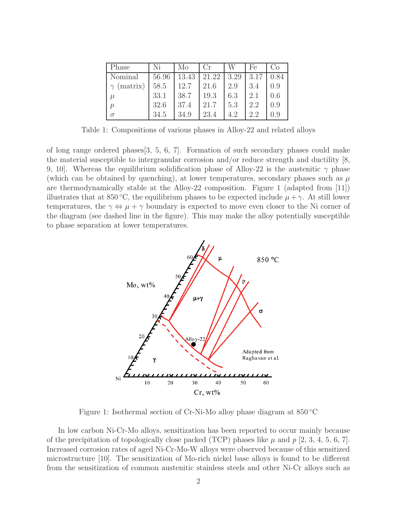| Phase             | Ni    | Mo    | $_{\rm Cr}$       |     | Fe   | C'O  |
|-------------------|-------|-------|-------------------|-----|------|------|
| Nominal           | 56.96 | 13.43 | $21.22 \mid 3.29$ |     | 3.17 | 0.84 |
| $\gamma$ (matrix) | 58.5  | 12.7  | 21.6              | 2.9 | 3.4  | 0.9  |
| $_{L}$            | 33.1  | 38.7  | 19.3              | 6.3 | 2.1  | 0.6  |
| $\mathcal{p}$     | 32.6  | 37.4  | 21.7              | 5.3 | 2.2  | 0.9  |
| $\sigma$          | 34.5  | 34.9  | 23.4              | 4.2 | 2.2  | 0.9  |

Table 1: Compositions of various phases in Alloy-22 and related alloys

of long range ordered phases[3, 5, 6, 7]. Formation of such secondary phases could make the material susceptible to intergranular corrosion and/or reduce strength and ductility [8, 9, 10. Whereas the equilibrium solidification phase of Alloy-22 is the austenitic  $\gamma$  phase (which can be obtained by quenching), at lower temperatures, secondary phases such as  $\mu$ are thermodynamically stable at the Alloy-22 composition. Figure 1 (adapted from [11]) illustrates that at 850 °C, the equilibrium phases to be expected include  $\mu + \gamma$ . At still lower temperatures, the  $\gamma \Leftrightarrow \mu + \gamma$  boundary is expected to move even closer to the Ni corner of the diagram (see dashed line in the figure). This may make the alloy potentially susceptible to phase separation at lower temperatures.



Figure 1: Isothermal section of Cr-Ni-Mo alloy phase diagram at 850 ◦C

In low carbon Ni-Cr-Mo alloys, sensitization has been reported to occur mainly because of the precipitation of topologically close packed (TCP) phases like  $\mu$  and p [2, 3, 4, 5, 6, 7]. Increased corrosion rates of aged Ni-Cr-Mo-W alloys were observed because of this sensitized microstructure [10]. The sensitization of Mo-rich nickel base alloys is found to be different from the sensitization of common austenitic stainless steels and other Ni-Cr alloys such as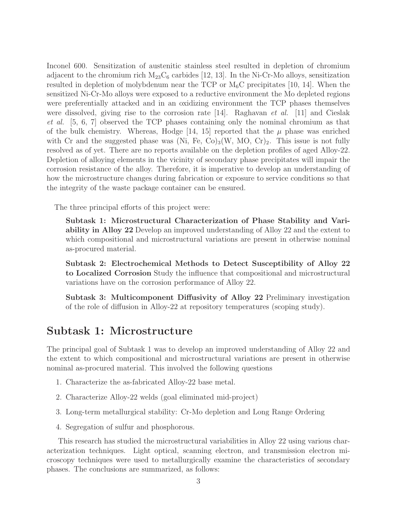Inconel 600. Sensitization of austenitic stainless steel resulted in depletion of chromium adjacent to the chromium rich  $M_{23}C_6$  carbides [12, 13]. In the Ni-Cr-Mo alloys, sensitization resulted in depletion of molybdenum near the TCP or  $M_6C$  precipitates [10, 14]. When the sensitized Ni-Cr-Mo alloys were exposed to a reductive environment the Mo depleted regions were preferentially attacked and in an oxidizing environment the TCP phases themselves were dissolved, giving rise to the corrosion rate  $[14]$ . Raghavan *et al.* [11] and Cieslak et al. [5, 6, 7] observed the TCP phases containing only the nominal chromium as that of the bulk chemistry. Whereas, Hodge [14, 15] reported that the  $\mu$  phase was enriched with Cr and the suggested phase was (Ni, Fe, Co)<sub>3</sub>(W, MO, Cr)<sub>2</sub>. This issue is not fully resolved as of yet. There are no reports available on the depletion profiles of aged Alloy-22. Depletion of alloying elements in the vicinity of secondary phase precipitates will impair the corrosion resistance of the alloy. Therefore, it is imperative to develop an understanding of how the microstructure changes during fabrication or exposure to service conditions so that the integrity of the waste package container can be ensured.

The three principal efforts of this project were:

**Subtask 1: Microstructural Characterization of Phase Stability and Variability in Alloy 22** Develop an improved understanding of Alloy 22 and the extent to which compositional and microstructural variations are present in otherwise nominal as-procured material.

**Subtask 2: Electrochemical Methods to Detect Susceptibility of Alloy 22 to Localized Corrosion** Study the influence that compositional and microstructural variations have on the corrosion performance of Alloy 22.

**Subtask 3: Multicomponent Diffusivity of Alloy 22** Preliminary investigation of the role of diffusion in Alloy-22 at repository temperatures (scoping study).

# **Subtask 1: Microstructure**

The principal goal of Subtask 1 was to develop an improved understanding of Alloy 22 and the extent to which compositional and microstructural variations are present in otherwise nominal as-procured material. This involved the following questions

- 1. Characterize the as-fabricated Alloy-22 base metal.
- 2. Characterize Alloy-22 welds (goal eliminated mid-project)
- 3. Long-term metallurgical stability: Cr-Mo depletion and Long Range Ordering
- 4. Segregation of sulfur and phosphorous.

This research has studied the microstructural variabilities in Alloy 22 using various characterization techniques. Light optical, scanning electron, and transmission electron microscopy techniques were used to metallurgically examine the characteristics of secondary phases. The conclusions are summarized, as follows: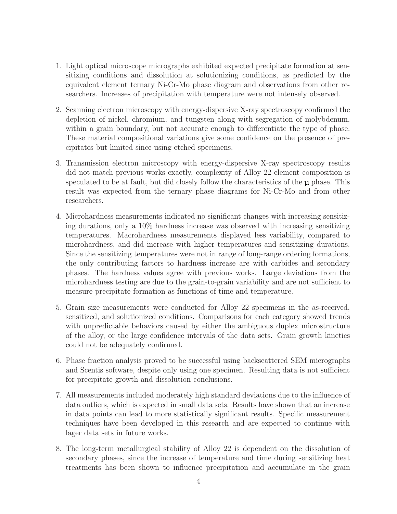- 1. Light optical microscope micrographs exhibited expected precipitate formation at sensitizing conditions and dissolution at solutionizing conditions, as predicted by the equivalent element ternary Ni-Cr-Mo phase diagram and observations from other researchers. Increases of precipitation with temperature were not intensely observed.
- 2. Scanning electron microscopy with energy-dispersive X-ray spectroscopy confirmed the depletion of nickel, chromium, and tungsten along with segregation of molybdenum, within a grain boundary, but not accurate enough to differentiate the type of phase. These material compositional variations give some confidence on the presence of precipitates but limited since using etched specimens.
- 3. Transmission electron microscopy with energy-dispersive X-ray spectroscopy results did not match previous works exactly, complexity of Alloy 22 element composition is speculated to be at fault, but did closely follow the characteristics of the  $\mu$  phase. This result was expected from the ternary phase diagrams for Ni-Cr-Mo and from other researchers.
- 4. Microhardness measurements indicated no significant changes with increasing sensitizing durations, only a 10% hardness increase was observed with increasing sensitizing temperatures. Macrohardness measurements displayed less variability, compared to microhardness, and did increase with higher temperatures and sensitizing durations. Since the sensitizing temperatures were not in range of long-range ordering formations, the only contributing factors to hardness increase are with carbides and secondary phases. The hardness values agree with previous works. Large deviations from the microhardness testing are due to the grain-to-grain variability and are not sufficient to measure precipitate formation as functions of time and temperature.
- 5. Grain size measurements were conducted for Alloy 22 specimens in the as-received, sensitized, and solutionized conditions. Comparisons for each category showed trends with unpredictable behaviors caused by either the ambiguous duplex microstructure of the alloy, or the large confidence intervals of the data sets. Grain growth kinetics could not be adequately confirmed.
- 6. Phase fraction analysis proved to be successful using backscattered SEM micrographs and Scentis software, despite only using one specimen. Resulting data is not sufficient for precipitate growth and dissolution conclusions.
- 7. All measurements included moderately high standard deviations due to the influence of data outliers, which is expected in small data sets. Results have shown that an increase in data points can lead to more statistically significant results. Specific measurement techniques have been developed in this research and are expected to continue with lager data sets in future works.
- 8. The long-term metallurgical stability of Alloy 22 is dependent on the dissolution of secondary phases, since the increase of temperature and time during sensitizing heat treatments has been shown to influence precipitation and accumulate in the grain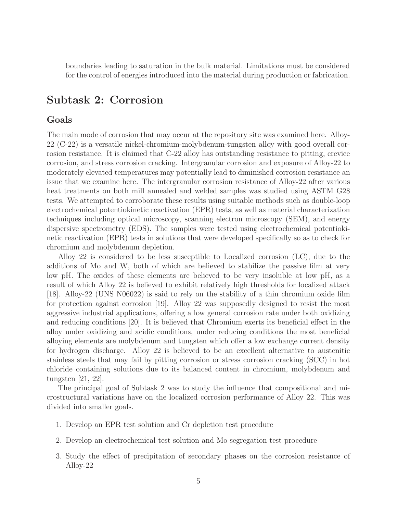boundaries leading to saturation in the bulk material. Limitations must be considered for the control of energies introduced into the material during production or fabrication.

# **Subtask 2: Corrosion**

### **Goals**

The main mode of corrosion that may occur at the repository site was examined here. Alloy-22 (C-22) is a versatile nickel-chromium-molybdenum-tungsten alloy with good overall corrosion resistance. It is claimed that C-22 alloy has outstanding resistance to pitting, crevice corrosion, and stress corrosion cracking. Intergranular corrosion and exposure of Alloy-22 to moderately elevated temperatures may potentially lead to diminished corrosion resistance an issue that we examine here. The intergranular corrosion resistance of Alloy-22 after various heat treatments on both mill annealed and welded samples was studied using ASTM G28 tests. We attempted to corroborate these results using suitable methods such as double-loop electrochemical potentiokinetic reactivation (EPR) tests, as well as material characterization techniques including optical microscopy, scanning electron microscopy (SEM), and energy dispersive spectrometry (EDS). The samples were tested using electrochemical potentiokinetic reactivation (EPR) tests in solutions that were developed specifically so as to check for chromium and molybdenum depletion.

Alloy 22 is considered to be less susceptible to Localized corrosion (LC), due to the additions of Mo and W, both of which are believed to stabilize the passive film at very low pH. The oxides of these elements are believed to be very insoluble at low pH, as a result of which Alloy 22 is believed to exhibit relatively high thresholds for localized attack [18]. Alloy-22 (UNS N06022) is said to rely on the stability of a thin chromium oxide film for protection against corrosion [19]. Alloy 22 was supposedly designed to resist the most aggressive industrial applications, offering a low general corrosion rate under both oxidizing and reducing conditions [20]. It is believed that Chromium exerts its beneficial effect in the alloy under oxidizing and acidic conditions, under reducing conditions the most beneficial alloying elements are molybdenum and tungsten which offer a low exchange current density for hydrogen discharge. Alloy 22 is believed to be an excellent alternative to austenitic stainless steels that may fail by pitting corrosion or stress corrosion cracking (SCC) in hot chloride containing solutions due to its balanced content in chromium, molybdenum and tungsten [21, 22].

The principal goal of Subtask 2 was to study the influence that compositional and microstructural variations have on the localized corrosion performance of Alloy 22. This was divided into smaller goals.

- 1. Develop an EPR test solution and Cr depletion test procedure
- 2. Develop an electrochemical test solution and Mo segregation test procedure
- 3. Study the effect of precipitation of secondary phases on the corrosion resistance of Alloy-22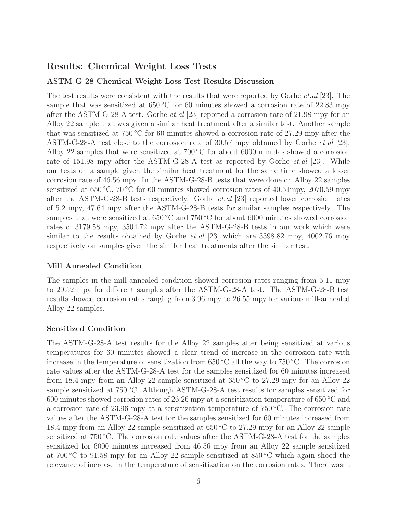# **Results: Chemical Weight Loss Tests**

### **ASTM G 28 Chemical Weight Loss Test Results Discussion**

The test results were consistent with the results that were reported by Gorhe *et.al* [23]. The sample that was sensitized at  $650\degree C$  for 60 minutes showed a corrosion rate of 22.83 mpy after the ASTM-G-28-A test. Gorhe *et.al* [23] reported a corrosion rate of 21.98 mpy for an Alloy 22 sample that was given a similar heat treatment after a similar test. Another sample that was sensitized at 750 ◦C for 60 minutes showed a corrosion rate of 27.29 mpy after the ASTM-G-28-A test close to the corrosion rate of 30.57 mpy obtained by Gorhe et.al [23]. Alloy 22 samples that were sensitized at  $700\degree C$  for about 6000 minutes showed a corrosion rate of 151.98 mpy after the ASTM-G-28-A test as reported by Gorhe *et.al* [23]. While our tests on a sample given the similar heat treatment for the same time showed a lesser corrosion rate of 46.56 mpy. In the ASTM-G-28-B tests that were done on Alloy 22 samples sensitized at  $650\textdegree\text{C}$ ,  $70\textdegree\text{C}$  for 60 minutes showed corrosion rates of 40.51mpy, 2070.59 mpy after the ASTM-G-28-B tests respectively. Gorhe et.al [23] reported lower corrosion rates of 5.2 mpy, 47.64 mpy after the ASTM-G-28-B tests for similar samples respectively. The samples that were sensitized at  $650\degree\text{C}$  and  $750\degree\text{C}$  for about 6000 minutes showed corrosion rates of 3179.58 mpy, 3504.72 mpy after the ASTM-G-28-B tests in our work which were similar to the results obtained by Gorhe *et.al* [23] which are  $3398.82$  mpy,  $4002.76$  mpy respectively on samples given the similar heat treatments after the similar test.

### **Mill Annealed Condition**

The samples in the mill-annealed condition showed corrosion rates ranging from 5.11 mpy to 29.52 mpy for different samples after the ASTM-G-28-A test. The ASTM-G-28-B test results showed corrosion rates ranging from 3.96 mpy to 26.55 mpy for various mill-annealed Alloy-22 samples.

### **Sensitized Condition**

The ASTM-G-28-A test results for the Alloy 22 samples after being sensitized at various temperatures for 60 minutes showed a clear trend of increase in the corrosion rate with increase in the temperature of sensitization from  $650\textdegree\textdegree C$  all the way to  $750\textdegree\textdegree C$ . The corrosion rate values after the ASTM-G-28-A test for the samples sensitized for 60 minutes increased from 18.4 mpy from an Alloy 22 sample sensitized at  $650\degree$ C to 27.29 mpy for an Alloy 22 sample sensitized at 750 °C. Although ASTM-G-28-A test results for samples sensitized for 600 minutes showed corrosion rates of 26.26 mpy at a sensitization temperature of 650 ◦C and a corrosion rate of 23.96 mpy at a sensitization temperature of 750 ◦C. The corrosion rate values after the ASTM-G-28-A test for the samples sensitized for 60 minutes increased from 18.4 mpy from an Alloy 22 sample sensitized at 650 ◦C to 27.29 mpy for an Alloy 22 sample sensitized at 750 °C. The corrosion rate values after the ASTM-G-28-A test for the samples sensitized for 6000 minutes increased from 46.56 mpy from an Alloy 22 sample sensitized at 700 °C to 91.58 mpy for an Alloy 22 sample sensitized at  $850$  °C which again shoed the relevance of increase in the temperature of sensitization on the corrosion rates. There wasnt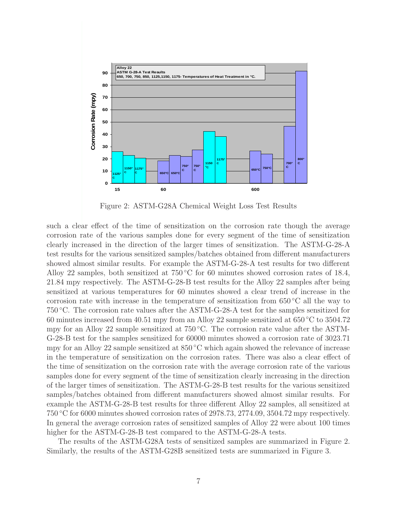

Figure 2: ASTM-G28A Chemical Weight Loss Test Results

such a clear effect of the time of sensitization on the corrosion rate though the average corrosion rate of the various samples done for every segment of the time of sensitization clearly increased in the direction of the larger times of sensitization. The ASTM-G-28-A test results for the various sensitized samples/batches obtained from different manufacturers showed almost similar results. For example the ASTM-G-28-A test results for two different Alloy 22 samples, both sensitized at  $750\degree\text{C}$  for 60 minutes showed corrosion rates of 18.4, 21.84 mpy respectively. The ASTM-G-28-B test results for the Alloy 22 samples after being sensitized at various temperatures for 60 minutes showed a clear trend of increase in the corrosion rate with increase in the temperature of sensitization from  $650\degree C$  all the way to 750 ◦C. The corrosion rate values after the ASTM-G-28-A test for the samples sensitized for 60 minutes increased from 40.51 mpy from an Alloy 22 sample sensitized at 650 ◦C to 3504.72 mpy for an Alloy 22 sample sensitized at  $750\degree C$ . The corrosion rate value after the ASTM-G-28-B test for the samples sensitized for 60000 minutes showed a corrosion rate of 3023.71 mpy for an Alloy 22 sample sensitized at 850 ◦C which again showed the relevance of increase in the temperature of sensitization on the corrosion rates. There was also a clear effect of the time of sensitization on the corrosion rate with the average corrosion rate of the various samples done for every segment of the time of sensitization clearly increasing in the direction of the larger times of sensitization. The ASTM-G-28-B test results for the various sensitized samples/batches obtained from different manufacturers showed almost similar results. For example the ASTM-G-28-B test results for three different Alloy 22 samples, all sensitized at 750 ◦C for 6000 minutes showed corrosion rates of 2978.73, 2774.09, 3504.72 mpy respectively. In general the average corrosion rates of sensitized samples of Alloy 22 were about 100 times higher for the ASTM-G-28-B test compared to the ASTM-G-28-A tests.

The results of the ASTM-G28A tests of sensitized samples are summarized in Figure 2. Similarly, the results of the ASTM-G28B sensitized tests are summarized in Figure 3.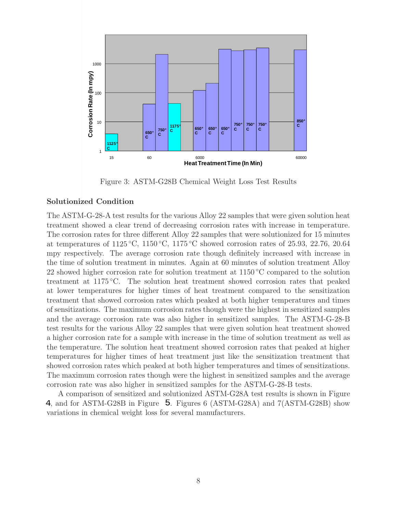

Figure 3: ASTM-G28B Chemical Weight Loss Test Results

#### **Solutionized Condition**

The ASTM-G-28-A test results for the various Alloy 22 samples that were given solution heat treatment showed a clear trend of decreasing corrosion rates with increase in temperature. The corrosion rates for three different Alloy 22 samples that were solutionized for 15 minutes at temperatures of 1125 °C, 1150 °C, 1175 °C showed corrosion rates of 25.93, 22.76, 20.64 mpy respectively. The average corrosion rate though definitely increased with increase in the time of solution treatment in minutes. Again at 60 minutes of solution treatment Alloy 22 showed higher corrosion rate for solution treatment at  $1150\degree\text{C}$  compared to the solution treatment at 1175 ◦C. The solution heat treatment showed corrosion rates that peaked at lower temperatures for higher times of heat treatment compared to the sensitization treatment that showed corrosion rates which peaked at both higher temperatures and times of sensitizations. The maximum corrosion rates though were the highest in sensitized samples and the average corrosion rate was also higher in sensitized samples. The ASTM-G-28-B test results for the various Alloy 22 samples that were given solution heat treatment showed a higher corrosion rate for a sample with increase in the time of solution treatment as well as the temperature. The solution heat treatment showed corrosion rates that peaked at higher temperatures for higher times of heat treatment just like the sensitization treatment that showed corrosion rates which peaked at both higher temperatures and times of sensitizations. The maximum corrosion rates though were the highest in sensitized samples and the average corrosion rate was also higher in sensitized samples for the ASTM-G-28-B tests.

A comparison of sensitized and solutionized ASTM-G28A test results is shown in Figure 4, and for ASTM-G28B in Figure 5. Figures 6 (ASTM-G28A) and 7(ASTM-G28B) show variations in chemical weight loss for several manufacturers.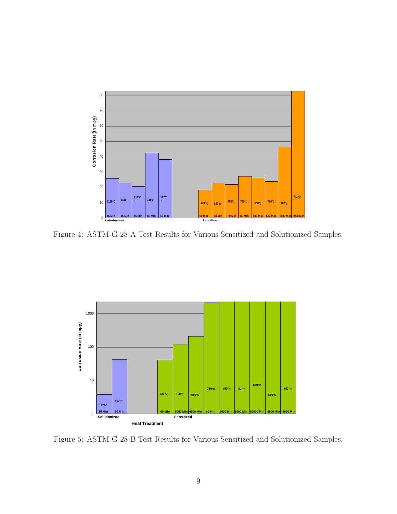

Figure 4: ASTM-G-28-A Test Results for Various Sensitized and Solutionized Samples.



Figure 5: ASTM-G-28-B Test Results for Various Sensitized and Solutionized Samples.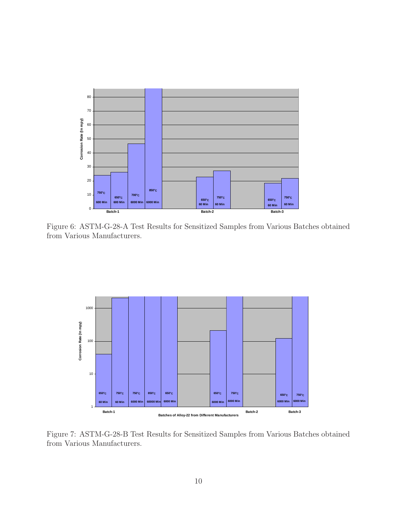

Figure 6: ASTM-G-28-A Test Results for Sensitized Samples from Various Batches obtained from Various Manufacturers.



Figure 7: ASTM-G-28-B Test Results for Sensitized Samples from Various Batches obtained from Various Manufacturers.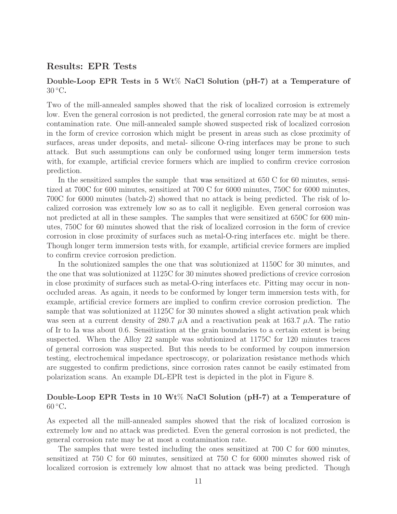### **Results: EPR Tests**

### **Double-Loop EPR Tests in 5 Wt**% **NaCl Solution (pH-7) at a Temperature of** 30 ◦C**.**

Two of the mill-annealed samples showed that the risk of localized corrosion is extremely low. Even the general corrosion is not predicted, the general corrosion rate may be at most a contamination rate. One mill-annealed sample showed suspected risk of localized corrosion in the form of crevice corrosion which might be present in areas such as close proximity of surfaces, areas under deposits, and metal- silicone O-ring interfaces may be prone to such attack. But such assumptions can only be conformed using longer term immersion tests with, for example, artificial crevice formers which are implied to confirm crevice corrosion prediction.

In the sensitized samples the sample that was sensitized at  $650 \text{ C}$  for 60 minutes, sensitized at 700C for 600 minutes, sensitized at 700 C for 6000 minutes, 750C for 6000 minutes, 700C for 6000 minutes (batch-2) showed that no attack is being predicted. The risk of localized corrosion was extremely low so as to call it negligible. Even general corrosion was not predicted at all in these samples. The samples that were sensitized at 650C for 600 minutes, 750C for 60 minutes showed that the risk of localized corrosion in the form of crevice corrosion in close proximity of surfaces such as metal-O-ring interfaces etc. might be there. Though longer term immersion tests with, for example, artificial crevice formers are implied to confirm crevice corrosion prediction.

In the solutionized samples the one that was solutionized at 1150C for 30 minutes, and the one that was solutionized at 1125C for 30 minutes showed predictions of crevice corrosion in close proximity of surfaces such as metal-O-ring interfaces etc. Pitting may occur in nonoccluded areas. As again, it needs to be conformed by longer term immersion tests with, for example, artificial crevice formers are implied to confirm crevice corrosion prediction. The sample that was solutionized at 1125C for 30 minutes showed a slight activation peak which was seen at a current density of 280.7  $\mu$ A and a reactivation peak at 163.7  $\mu$ A. The ratio of Ir to Ia was about 0.6. Sensitization at the grain boundaries to a certain extent is being suspected. When the Alloy 22 sample was solutionized at 1175C for 120 minutes traces of general corrosion was suspected. But this needs to be conformed by coupon immersion testing, electrochemical impedance spectroscopy, or polarization resistance methods which are suggested to confirm predictions, since corrosion rates cannot be easily estimated from polarization scans. An example DL-EPR test is depicted in the plot in Figure 8.

### **Double-Loop EPR Tests in 10 Wt**% **NaCl Solution (pH-7) at a Temperature of** 60 ◦C**.**

As expected all the mill-annealed samples showed that the risk of localized corrosion is extremely low and no attack was predicted. Even the general corrosion is not predicted, the general corrosion rate may be at most a contamination rate.

The samples that were tested including the ones sensitized at 700 C for 600 minutes, sensitized at 750 C for 60 minutes, sensitized at 750 C for 6000 minutes showed risk of localized corrosion is extremely low almost that no attack was being predicted. Though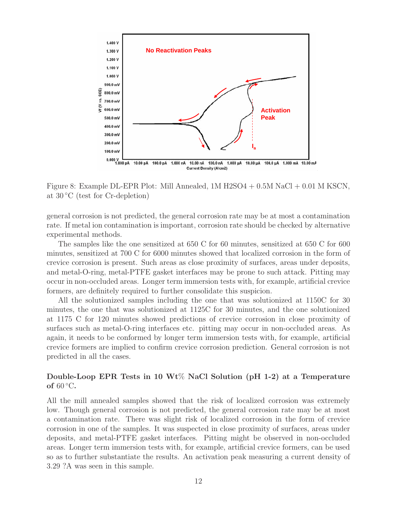

Figure 8: Example DL-EPR Plot: Mill Annealed, 1M H2SO4 + 0.5M NaCl + 0.01 M KSCN, at 30 ◦C (test for Cr-depletion)

general corrosion is not predicted, the general corrosion rate may be at most a contamination rate. If metal ion contamination is important, corrosion rate should be checked by alternative experimental methods.

The samples like the one sensitized at 650 C for 60 minutes, sensitized at 650 C for 600 minutes, sensitized at 700 C for 6000 minutes showed that localized corrosion in the form of crevice corrosion is present. Such areas as close proximity of surfaces, areas under deposits, and metal-O-ring, metal-PTFE gasket interfaces may be prone to such attack. Pitting may occur in non-occluded areas. Longer term immersion tests with, for example, artificial crevice formers, are definitely required to further consolidate this suspicion.

All the solutionized samples including the one that was solutionized at 1150C for 30 minutes, the one that was solutionized at 1125C for 30 minutes, and the one solutionized at 1175 C for 120 minutes showed predictions of crevice corrosion in close proximity of surfaces such as metal-O-ring interfaces etc. pitting may occur in non-occluded areas. As again, it needs to be conformed by longer term immersion tests with, for example, artificial crevice formers are implied to confirm crevice corrosion prediction. General corrosion is not predicted in all the cases.

### **Double-Loop EPR Tests in 10 Wt**% **NaCl Solution (pH 1-2) at a Temperature of** 60 ◦C**.**

All the mill annealed samples showed that the risk of localized corrosion was extremely low. Though general corrosion is not predicted, the general corrosion rate may be at most a contamination rate. There was slight risk of localized corrosion in the form of crevice corrosion in one of the samples. It was suspected in close proximity of surfaces, areas under deposits, and metal-PTFE gasket interfaces. Pitting might be observed in non-occluded areas. Longer term immersion tests with, for example, artificial crevice formers, can be used so as to further substantiate the results. An activation peak measuring a current density of 3.29 ?A was seen in this sample.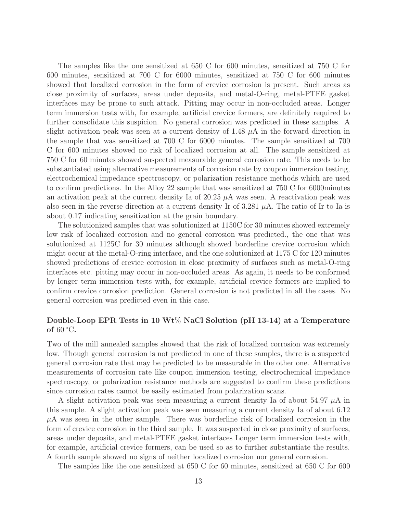The samples like the one sensitized at 650 C for 600 minutes, sensitized at 750 C for 600 minutes, sensitized at 700 C for 6000 minutes, sensitized at 750 C for 600 minutes showed that localized corrosion in the form of crevice corrosion is present. Such areas as close proximity of surfaces, areas under deposits, and metal-O-ring, metal-PTFE gasket interfaces may be prone to such attack. Pitting may occur in non-occluded areas. Longer term immersion tests with, for example, artificial crevice formers, are definitely required to further consolidate this suspicion. No general corrosion was predicted in these samples. A slight activation peak was seen at a current density of 1.48  $\mu$ A in the forward direction in the sample that was sensitized at 700 C for 6000 minutes. The sample sensitized at 700 C for 600 minutes showed no risk of localized corrosion at all. The sample sensitized at 750 C for 60 minutes showed suspected measurable general corrosion rate. This needs to be substantiated using alternative measurements of corrosion rate by coupon immersion testing, electrochemical impedance spectroscopy, or polarization resistance methods which are used to confirm predictions. In the Alloy 22 sample that was sensitized at 750 C for 6000minutes an activation peak at the current density Ia of  $20.25 \mu A$  was seen. A reactivation peak was also seen in the reverse direction at a current density Ir of 3.281  $\mu$ A. The ratio of Ir to Ia is about 0.17 indicating sensitization at the grain boundary.

The solutionized samples that was solutionized at 1150C for 30 minutes showed extremely low risk of localized corrosion and no general corrosion was predicted., the one that was solutionized at 1125C for 30 minutes although showed borderline crevice corrosion which might occur at the metal-O-ring interface, and the one solutionized at 1175 C for 120 minutes showed predictions of crevice corrosion in close proximity of surfaces such as metal-O-ring interfaces etc. pitting may occur in non-occluded areas. As again, it needs to be conformed by longer term immersion tests with, for example, artificial crevice formers are implied to confirm crevice corrosion prediction. General corrosion is not predicted in all the cases. No general corrosion was predicted even in this case.

### **Double-Loop EPR Tests in 10 Wt**% **NaCl Solution (pH 13-14) at a Temperature of** 60 ◦C**.**

Two of the mill annealed samples showed that the risk of localized corrosion was extremely low. Though general corrosion is not predicted in one of these samples, there is a suspected general corrosion rate that may be predicted to be measurable in the other one. Alternative measurements of corrosion rate like coupon immersion testing, electrochemical impedance spectroscopy, or polarization resistance methods are suggested to confirm these predictions since corrosion rates cannot be easily estimated from polarization scans.

A slight activation peak was seen measuring a current density Ia of about  $54.97 \mu A$  in this sample. A slight activation peak was seen measuring a current density Ia of about 6.12  $\mu$ A was seen in the other sample. There was borderline risk of localized corrosion in the form of crevice corrosion in the third sample. It was suspected in close proximity of surfaces, areas under deposits, and metal-PTFE gasket interfaces Longer term immersion tests with, for example, artificial crevice formers, can be used so as to further substantiate the results. A fourth sample showed no signs of neither localized corrosion nor general corrosion.

The samples like the one sensitized at 650 C for 60 minutes, sensitized at 650 C for 600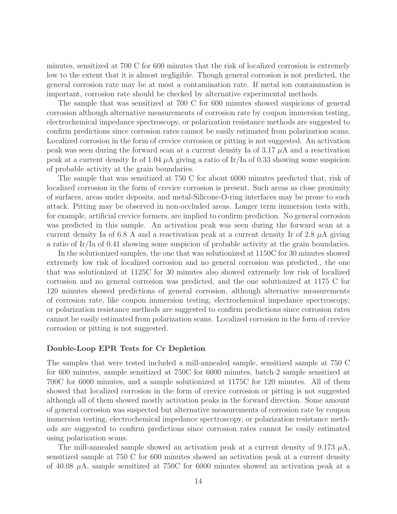minutes, sensitized at 700 C for 600 minutes that the risk of localized corrosion is extremely low to the extent that it is almost negligible. Though general corrosion is not predicted, the general corrosion rate may be at most a contamination rate. If metal ion contamination is important, corrosion rate should be checked by alternative experimental methods.

The sample that was sensitized at 700 C for 600 minutes showed suspicions of general corrosion although alternative measurements of corrosion rate by coupon immersion testing, electrochemical impedance spectroscopy, or polarization resistance methods are suggested to confirm predictions since corrosion rates cannot be easily estimated from polarization scans. Localized corrosion in the form of crevice corrosion or pitting is not suggested. An activation peak was seen during the forward scan at a current density Ia of  $3.17 \mu A$  and a reactivation peak at a current density Ir of 1.04  $\mu$ A giving a ratio of Ir/Ia of 0.33 showing some suspicion of probable activity at the grain boundaries.

The sample that was sensitized at 750 C for about 6000 minutes predicted that, risk of localized corrosion in the form of crevice corrosion is present. Such areas as close proximity of surfaces, areas under deposits, and metal-Silicone-O-ring interfaces may be prone to such attack. Pitting may be observed in non-occluded areas. Longer term immersion tests with, for example, artificial crevice formers, are implied to confirm prediction. No general corrosion was predicted in this sample. An activation peak was seen during the forward scan at a current density Ia of 6.8 A and a reactivation peak at a current density Ir of 2.8  $\mu$ A giving a ratio of Ir/Ia of 0.41 showing some suspicion of probable activity at the grain boundaries.

In the solutionized samples, the one that was solutionized at 1150C for 30 minutes showed extremely low risk of localized corrosion and no general corrosion was predicted., the one that was solutionized at 1125C for 30 minutes also showed extremely low risk of localized corrosion and no general corrosion was predicted, and the one solutionized at 1175 C for 120 minutes showed predictions of general corrosion, although alternative measurements of corrosion rate, like coupon immersion testing, electrochemical impedance spectroscopy, or polarization resistance methods are suggested to confirm predictions since corrosion rates cannot be easily estimated from polarization scans. Localized corrosion in the form of crevice corrosion or pitting is not suggested.

#### **Double-Loop EPR Tests for Cr Depletion**

The samples that were tested included a mill-annealed sample, sensitized sample at 750 C for 600 minutes, sample sensitized at 750C for 6000 minutes, batch-2 sample sensitized at 700C for 6000 minutes, and a sample solutionized at 1175C for 120 minutes. All of them showed that localized corrosion in the form of crevice corrosion or pitting is not suggested although all of them showed mostly activation peaks in the forward direction. Some amount of general corrosion was suspected but alternative measurements of corrosion rate by coupon immersion testing, electrochemical impedance spectroscopy, or polarization resistance methods are suggested to confirm predictions since corrosion rates cannot be easily estimated using polarization scans.

The mill-annealed sample showed an activation peak at a current density of 9.173  $\mu$ A, sensitized sample at 750 C for 600 minutes showed an activation peak at a current density of 40.08  $\mu$ A, sample sensitized at 750C for 6000 minutes showed an activation peak at a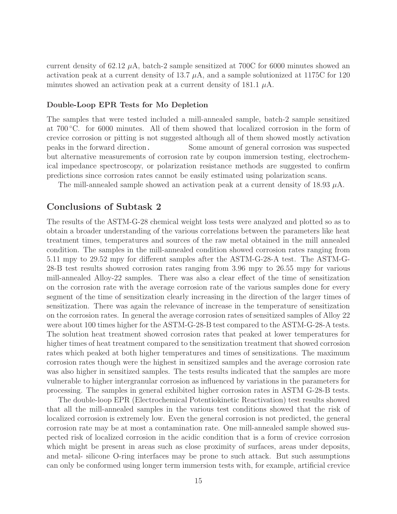current density of 62.12  $\mu$ A, batch-2 sample sensitized at 700C for 6000 minutes showed an activation peak at a current density of 13.7  $\mu$ A, and a sample solutionized at 1175C for 120 minutes showed an activation peak at a current density of 181.1  $\mu$ A.

#### **Double-Loop EPR Tests for Mo Depletion**

The samples that were tested included a mill-annealed sample, batch-2 sample sensitized at 700 ◦C. for 6000 minutes. All of them showed that localized corrosion in the form of crevice corrosion or pitting is not suggested although all of them showed mostly activation Some amount of general corrosion was suspected. but alternative measurements of corrosion rate by coupon immersion testing, electrochemical impedance spectroscopy, or polarization resistance methods are suggested to confirm predictions since corrosion rates cannot be easily estimated using polarization scans. peaks in the forward direction.

The mill-annealed sample showed an activation peak at a current density of  $18.93 \mu A$ .

### **Conclusions of Subtask 2**

The results of the ASTM-G-28 chemical weight loss tests were analyzed and plotted so as to obtain a broader understanding of the various correlations between the parameters like heat treatment times, temperatures and sources of the raw metal obtained in the mill annealed condition. The samples in the mill-annealed condition showed corrosion rates ranging from 5.11 mpy to 29.52 mpy for different samples after the ASTM-G-28-A test. The ASTM-G-28-B test results showed corrosion rates ranging from 3.96 mpy to 26.55 mpy for various mill-annealed Alloy-22 samples. There was also a clear effect of the time of sensitization on the corrosion rate with the average corrosion rate of the various samples done for every segment of the time of sensitization clearly increasing in the direction of the larger times of sensitization. There was again the relevance of increase in the temperature of sensitization on the corrosion rates. In general the average corrosion rates of sensitized samples of Alloy 22 were about 100 times higher for the ASTM-G-28-B test compared to the ASTM-G-28-A tests. The solution heat treatment showed corrosion rates that peaked at lower temperatures for higher times of heat treatment compared to the sensitization treatment that showed corrosion rates which peaked at both higher temperatures and times of sensitizations. The maximum corrosion rates though were the highest in sensitized samples and the average corrosion rate was also higher in sensitized samples. The tests results indicated that the samples are more vulnerable to higher intergranular corrosion as influenced by variations in the parameters for processing. The samples in general exhibited higher corrosion rates in ASTM G-28-B tests.

The double-loop EPR (Electrochemical Potentiokinetic Reactivation) test results showed that all the mill-annealed samples in the various test conditions showed that the risk of localized corrosion is extremely low. Even the general corrosion is not predicted, the general corrosion rate may be at most a contamination rate. One mill-annealed sample showed suspected risk of localized corrosion in the acidic condition that is a form of crevice corrosion which might be present in areas such as close proximity of surfaces, areas under deposits, and metal- silicone O-ring interfaces may be prone to such attack. But such assumptions can only be conformed using longer term immersion tests with, for example, artificial crevice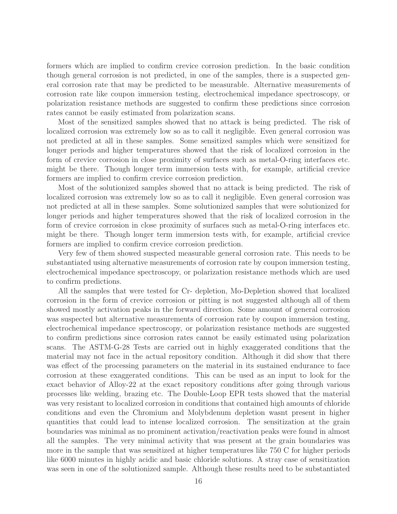formers which are implied to confirm crevice corrosion prediction. In the basic condition though general corrosion is not predicted, in one of the samples, there is a suspected general corrosion rate that may be predicted to be measurable. Alternative measurements of corrosion rate like coupon immersion testing, electrochemical impedance spectroscopy, or polarization resistance methods are suggested to confirm these predictions since corrosion rates cannot be easily estimated from polarization scans.

Most of the sensitized samples showed that no attack is being predicted. The risk of localized corrosion was extremely low so as to call it negligible. Even general corrosion was not predicted at all in these samples. Some sensitized samples which were sensitized for longer periods and higher temperatures showed that the risk of localized corrosion in the form of crevice corrosion in close proximity of surfaces such as metal-O-ring interfaces etc. might be there. Though longer term immersion tests with, for example, artificial crevice formers are implied to confirm crevice corrosion prediction.

Most of the solutionized samples showed that no attack is being predicted. The risk of localized corrosion was extremely low so as to call it negligible. Even general corrosion was not predicted at all in these samples. Some solutionized samples that were solutionized for longer periods and higher temperatures showed that the risk of localized corrosion in the form of crevice corrosion in close proximity of surfaces such as metal-O-ring interfaces etc. might be there. Though longer term immersion tests with, for example, artificial crevice formers are implied to confirm crevice corrosion prediction.

Very few of them showed suspected measurable general corrosion rate. This needs to be substantiated using alternative measurements of corrosion rate by coupon immersion testing, electrochemical impedance spectroscopy, or polarization resistance methods which are used to confirm predictions.

All the samples that were tested for Cr- depletion, Mo-Depletion showed that localized corrosion in the form of crevice corrosion or pitting is not suggested although all of them showed mostly activation peaks in the forward direction. Some amount of general corrosion was suspected but alternative measurements of corrosion rate by coupon immersion testing, electrochemical impedance spectroscopy, or polarization resistance methods are suggested to confirm predictions since corrosion rates cannot be easily estimated using polarization scans. The ASTM-G-28 Tests are carried out in highly exaggerated conditions that the material may not face in the actual repository condition. Although it did show that there was effect of the processing parameters on the material in its sustained endurance to face corrosion at these exaggerated conditions. This can be used as an input to look for the exact behavior of Alloy-22 at the exact repository conditions after going through various processes like welding, brazing etc. The Double-Loop EPR tests showed that the material was very resistant to localized corrosion in conditions that contained high amounts of chloride conditions and even the Chromium and Molybdenum depletion wasnt present in higher quantities that could lead to intense localized corrosion. The sensitization at the grain boundaries was minimal as no prominent activation/reactivation peaks were found in almost all the samples. The very minimal activity that was present at the grain boundaries was more in the sample that was sensitized at higher temperatures like 750 C for higher periods like 6000 minutes in highly acidic and basic chloride solutions. A stray case of sensitization was seen in one of the solutionized sample. Although these results need to be substantiated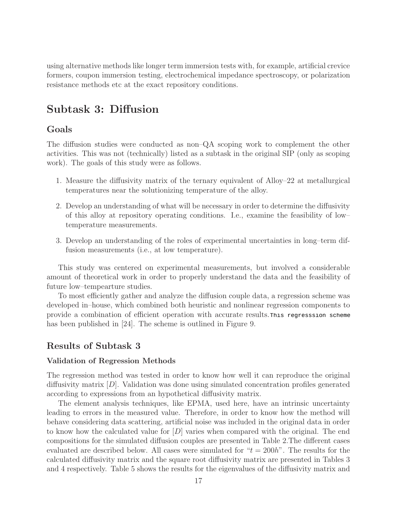using alternative methods like longer term immersion tests with, for example, artificial crevice formers, coupon immersion testing, electrochemical impedance spectroscopy, or polarization resistance methods etc at the exact repository conditions.

# **Subtask 3: Diffusion**

### **Goals**

The diffusion studies were conducted as non–QA scoping work to complement the other activities. This was not (technically) listed as a subtask in the original SIP (only as scoping work). The goals of this study were as follows.

- 1. Measure the diffusivity matrix of the ternary equivalent of Alloy–22 at metallurgical temperatures near the solutionizing temperature of the alloy.
- 2. Develop an understanding of what will be necessary in order to determine the diffusivity of this alloy at repository operating conditions. I.e., examine the feasibility of low– temperature measurements.
- 3. Develop an understanding of the roles of experimental uncertainties in long–term diffusion measurements (i.e., at low temperature).

This study was centered on experimental measurements, but involved a considerable amount of theoretical work in order to properly understand the data and the feasibility of future low–tempearture studies.

To most efficiently gather and analyze the diffusion couple data, a regression scheme was developed in–house, which combined both heuristic and nonlinear regression components to provide a combination of efficient operation with accurate results. This regresssion scheme has been published in [24]. The scheme is outlined in Figure 9.

### **Results of Subtask 3**

### **Validation of Regression Methods**

The regression method was tested in order to know how well it can reproduce the original diffusivity matrix  $[D]$ . Validation was done using simulated concentration profiles generated according to expressions from an hypothetical diffusivity matrix.

The element analysis techniques, like EPMA, used here, have an intrinsic uncertainty leading to errors in the measured value. Therefore, in order to know how the method will behave considering data scattering, artificial noise was included in the original data in order to know how the calculated value for  $[D]$  varies when compared with the original. The end compositions for the simulated diffusion couples are presented in Table 2.The different cases evaluated are described below. All cases were simulated for " $t = 200h$ ". The results for the calculated diffusivity matrix and the square root diffusivity matrix are presented in Tables 3 and 4 respectively. Table 5 shows the results for the eigenvalues of the diffusivity matrix and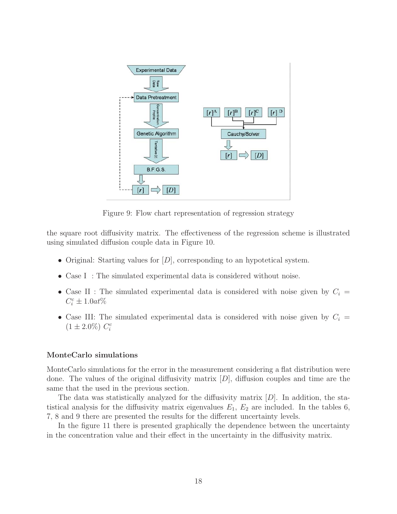

Figure 9: Flow chart representation of regression strategy

the square root diffusivity matrix. The effectiveness of the regression scheme is illustrated using simulated diffusion couple data in Figure 10.

- Original: Starting values for  $[D]$ , corresponding to an hypotetical system.
- Case I : The simulated experimental data is considered without noise.
- Case II : The simulated experimental data is considered with noise given by  $C_i$  =  $C_i^c \pm 1.0at\%$
- Case III: The simulated experimental data is considered with noise given by  $C_i$  =  $(1 \pm 2.0\%) C_i^c$

### **MonteCarlo simulations**

MonteCarlo simulations for the error in the measurement considering a flat distribution were done. The values of the original diffusivity matrix  $[D]$ , diffusion couples and time are the same that the used in the previous section.

The data was statistically analyzed for the diffusivity matrix  $[D]$ . In addition, the statistical analysis for the diffusivity matrix eigenvalues  $E_1, E_2$  are included. In the tables 6, 7, 8 and 9 there are presented the results for the different uncertainty levels.

In the figure 11 there is presented graphically the dependence between the uncertainty in the concentration value and their effect in the uncertainty in the diffusivity matrix.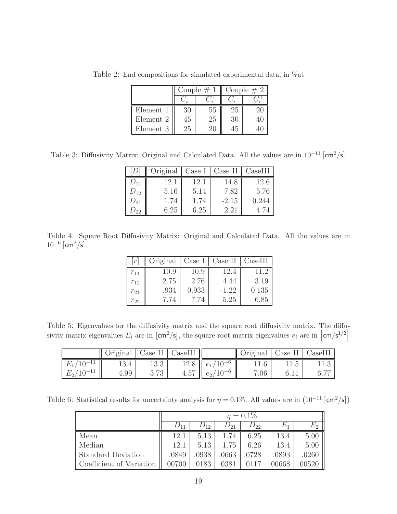|           |    | Couple $# 1$ | Couple $# 2$ |         |  |
|-----------|----|--------------|--------------|---------|--|
|           |    |              |              |         |  |
| Element 1 | 30 | 55           | 25           | $20 \,$ |  |
| Element 2 | 45 | 25           | 30           |         |  |
| Element 3 | 25 | 20.          |              |         |  |

Table 2: End compositions for simulated experimental data, in %at

Table 3: Diffusivity Matrix: Original and Calculated Data. All the values are in  $10^{-11}$   $\text{cm}^2/\text{s}$ 

|          | Original | Case I | Case II | CaseIII |
|----------|----------|--------|---------|---------|
| $D_{11}$ | 12.1     | 12.1   | 14.8    | 12.6    |
| $D_{12}$ | 5.16     | 5.14   | 7.82    | 5.76    |
| $D_{21}$ | 1.74     | 1.74   | $-2.15$ | 0.244   |
|          | 6.25     | 6.25   | 2.21    | 4.74    |

Table 4: Square Root Diffusivity Matrix: Original and Calculated Data. All the values are in  $10^{-6}$   $\text{cm}^2/\text{s}$ 

|          | Original | Case I | Case II | CaseIII |
|----------|----------|--------|---------|---------|
| $r_{11}$ | 10.9     | 10.9   | 12.4    | 11 2    |
| $r_{12}$ | 2.75     | 2.76   | 4.44    | 3.19    |
| $r_{21}$ | .934     | 0.933  | $-1.22$ | 0.135   |
| $r_{22}$ | 7.74     | 7.74   | 5.25    | 6.85    |

Table 5: Eigenvalues for the diffusivity matrix and the square root diffusivity matrix. The diffusivity matrix eigenvalues  $E_i$  are in  $\lfloor$ cm<sup>2</sup>/s<sup>1</sup>, the square root matrix eigenvalues  $e_i$  are in  $\lfloor$ cm/s<sup>1/2</sup> $\rfloor$ 

|                |      |      | Original   Case II   CaseIII |                                | Original   Case II   CaseIII |  |
|----------------|------|------|------------------------------|--------------------------------|------------------------------|--|
| $E_1/10^{-11}$ | 13.4 | 13.3 |                              | $12.8 \parallel e_1/10^{-6}$   | 11.6                         |  |
| $E_2/10^{-11}$ | 4.99 | 3.73 | 4.57                         | $\therefore$ $1 e_2 / 10^{-6}$ | 7.06                         |  |

Table 6: Statistical results for uncertainty analysis for  $\eta = 0.1\%$ . All values are in  $(10^{-11} \text{ [cm}^2/\text{s}])$ 

|                           |        | $\eta = 0.1\%$ |          |          |        |        |  |  |
|---------------------------|--------|----------------|----------|----------|--------|--------|--|--|
|                           |        | $D_{12}$       | $D_{21}$ | $D_{22}$ | E1     | E2     |  |  |
| Mean                      | 12.1   | 5.13           | 1.74     | 6.25     | 13.4   | 5.00   |  |  |
| Median                    | 12.1   | 5.13           | 1.75     | 6.26     | 13.4   | 5.00   |  |  |
| <b>Standard Deviation</b> | .0849  | .0938          | .0663    | .0728    | .0893  | .0260  |  |  |
| Coefficient of Variation  | .00700 | .0183          | .0381    |          | .00668 | .00520 |  |  |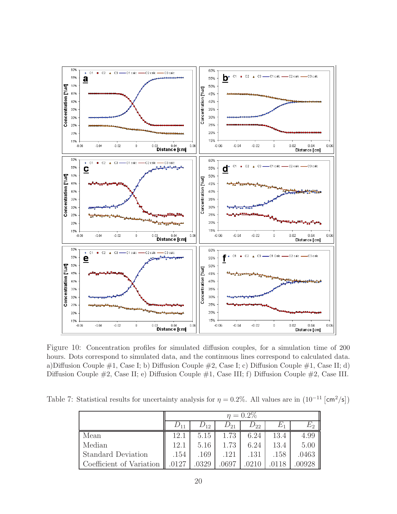

Figure 10: Concentration profiles for simulated diffusion couples, for a simulation time of 200 hours. Dots correspond to simulated data, and the continuous lines correspond to calculated data. a)Diffusion Couple  $\#1$ , Case I; b) Diffusion Couple  $\#2$ , Case I; c) Diffusion Couple  $\#1$ , Case II; d) Diffusion Couple #2, Case II; e) Diffusion Couple #1, Case III; f) Diffusion Couple #2, Case III.

Table 7: Statistical results for uncertainty analysis for  $\eta = 0.2\%$ . All values are in  $(10^{-11} \text{ [cm}^2/\text{s}])$ 

|                           |          | $\eta = 0.2\%$ |          |          |       |                                  |  |  |
|---------------------------|----------|----------------|----------|----------|-------|----------------------------------|--|--|
|                           | $D_{11}$ | $D_{12}$       | $D_{21}$ | $D_{22}$ | $E_1$ | $E_{2}% ^{N}=\mathbb{Z}_{+}^{2}$ |  |  |
| Mean                      | 12.1     | 5.15           | 1.73     | 6.24     | 13.4  | 4.99                             |  |  |
| Median                    | 12.1     | 5.16           | 1.73     | 6.24     | 13.4  | 5.00                             |  |  |
| <b>Standard Deviation</b> | .154     | .169           | .121     | .131     | .158  | .0463                            |  |  |
| Coefficient of Variation  | .0127    | .0329          | .0697    |          |       | 00928                            |  |  |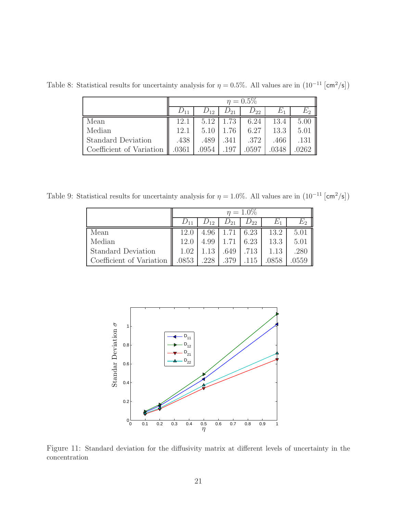|                           | $\eta = 0.5\%$ |          |          |          |       |      |  |
|---------------------------|----------------|----------|----------|----------|-------|------|--|
|                           |                | $D_{12}$ | $U_{21}$ | $D_{22}$ | Ľ1    | E2   |  |
| Mean                      | 12.1           | 5.12     | 1.73     | 6.24     | 13.4  | 5.00 |  |
| Median                    | 12.1           | 5.10     | 1.76     | 6.27     | 13.3  | 5.01 |  |
| <b>Standard Deviation</b> | .438           | .489     | .341     | .372     | .466  | .131 |  |
| Coefficient of Variation  | .0361          | .0954    | .197     | .0597    | .0348 | 0262 |  |

Table 8: Statistical results for uncertainty analysis for  $\eta = 0.5\%$ . All values are in  $(10^{-11} \text{ [cm}^2/\text{s}])$ 

Table 9: Statistical results for uncertainty analysis for  $\eta = 1.0\%$ . All values are in  $(10^{-11} \text{ [cm}^2/\text{s}])$ 

|                           | $\eta = 1.0\%$ |          |          |          |       |       |  |
|---------------------------|----------------|----------|----------|----------|-------|-------|--|
|                           |                | $D_{12}$ | $D_{21}$ | $D_{22}$ | $E_1$ | $E_2$ |  |
| Mean                      | 12.0           | 4.96     | 1.71     | 6.23     | 13.2  | 5.01  |  |
| Median                    | 12.0           | 4.99     |          | 6.23     | 13.3  | 5.01  |  |
| <b>Standard Deviation</b> | 1.02           |          | .649     | .713     | 1.13  | .280  |  |
| Coefficient of Variation  | .0853          | .228     | .379     | .115     | .0858 | .0559 |  |



Figure 11: Standard deviation for the diffusivity matrix at different levels of uncertainty in the concentration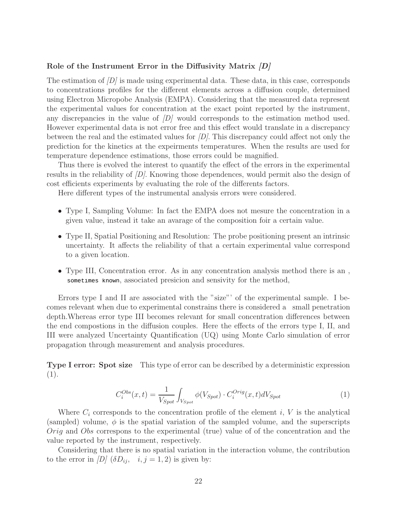#### **Role of the Instrument Error in the Diffusivity Matrix** *[D]*

The estimation of  $\langle D \rangle$  is made using experimental data. These data, in this case, corresponds to concentrations profiles for the different elements across a diffusion couple, determined using Electron Micropobe Analysis (EMPA). Considering that the measured data represent the experimental values for concentration at the exact point reported by the instrument, any discrepancies in the value of  $\langle D \rangle$  would corresponds to the estimation method used. However experimental data is not error free and this effect would translate in a discrepancy between the real and the estimated values for  $[D]$ . This discrepancy could affect not only the prediction for the kinetics at the expeirments temperatures. When the results are used for temperature dependence estimations, those errors could be magnified.

Thus there is evolved the interest to quantify the effect of the errors in the experimental results in the reliability of  $[D]$ . Knowing those dependences, would permit also the design of cost efficients experiments by evaluating the role of the differents factors.

Here different types of the instrumental analysis errors were considered.

- Type I, Sampling Volume: In fact the EMPA does not mesure the concentration in a given value, instead it take an avarage of the composition foir a certain value.
- Type II, Spatial Positioning and Resolution: The probe positioning present an intrinsic uncertainty. It affects the reliability of that a certain experimental value correspond to a given location.
- Type III, Concentration error. As in any concentration analysis method there is an , sometimes known, associated presicion and sensivity for the method,

Errors type I and II are associated with the "size"' of the experimental sample. I becomes relevant when due to experimental constrains there is considered a small penetration depth.Whereas error type III becomes relevant for small concentration differences between the end compostions in the diffusion couples. Here the effects of the errors type I, II, and III were analyzed Uncertainty Quantification (UQ) using Monte Carlo simulation of error propagation through measurement and analysis procedures.

**Type I error: Spot size** This type of error can be described by a deterministic expression (1).

$$
C_i^{Obs}(x,t) = \frac{1}{V_{Spot}} \int_{V_{Spot}} \phi(V_{Spot}) \cdot C_i^{Orig}(x,t) dV_{Spot}
$$
 (1)

Where  $C_i$  corresponds to the concentration profile of the element  $i, V$  is the analytical (sampled) volume,  $\phi$  is the spatial variation of the sampled volume, and the superscripts Orig and Obs correspons to the experimental (true) value of of the concentration and the value reported by the instrument, respectively.

Considering that there is no spatial variation in the interaction volume, the contribution to the error in  $[D]$  ( $\delta D_{ij}$ ,  $i, j = 1, 2$ ) is given by: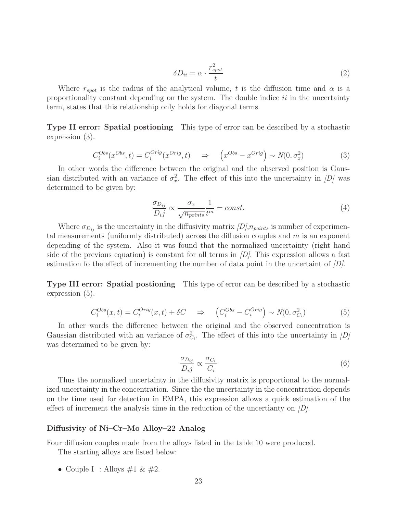$$
\delta D_{ii} = \alpha \cdot \frac{r_{spot}^2}{t} \tag{2}
$$

Where  $r_{spot}$  is the radius of the analytical volume, t is the diffusion time and  $\alpha$  is a proportionality constant depending on the system. The double indice  $ii$  in the uncertainty term, states that this relationship only holds for diagonal terms.

**Type II error: Spatial postioning** This type of error can be described by a stochastic expression (3).

$$
C_i^{Obs}(x^{Obs},t) = C_i^{Orig}(x^{Orig},t) \Rightarrow \left(x^{Obs} - x^{Orig}\right) \sim N(0, \sigma_x^2)
$$
 (3)

In other words the difference between the original and the observed position is Gaussian distributed with an variance of  $\sigma_x^2$ . The effect of this into the uncertainty in [D] was determined to be given by: determined to be given by:

$$
\frac{\sigma_{D_{ij}}}{D_i j} \propto \frac{\sigma_x}{\sqrt{n_{points}}} \frac{1}{t^m} = const.
$$
\n(4)

Where  $\sigma_{D_{ij}}$  is the uncertainty in the diffusivity matrix  $[D], n_{points}$  is number of experimental measurements (uniformly distributed) across the diffusion couples and  $m$  is an exponent depending of the system. Also it was found that the normalized uncertainty (right hand side of the previous equation) is constant for all terms in  $\langle D \rangle$ . This expression allows a fast estimation fo the effect of incrementing the number of data point in the uncertaint of  $\langle D \rangle$ .

**Type III error: Spatial postioning** This type of error can be described by a stochastic expression (5).

$$
C_i^{Obs}(x,t) = C_i^{Orig}(x,t) + \delta C \Rightarrow \left( C_i^{Obs} - C_i^{Orig} \right) \sim N(0, \sigma_{C_i}^2)
$$
 (5)

In other words the difference between the original and the observed concentration is Gaussian distributed with an variance of  $\sigma_C^2$ *Ci* . The effect of this into the uncertainty in  $[D]$ was determined to be given by:

$$
\frac{\sigma_{D_{ij}}}{D_i j} \propto \frac{\sigma_{C_i}}{C_i} \tag{6}
$$

Thus the normalized uncertainty in the diffusivity matrix is proportional to the normalized uncertainty in the concentration. Since the the uncertainty in the concentration depends on the time used for detection in EMPA, this expression allows a quick estimation of the effect of increment the analysis time in the reduction of the uncertianty on  $[D]$ .

#### **Diffusivity of Ni–Cr–Mo Alloy–22 Analog**

Four diffusion couples made from the alloys listed in the table 10 were produced.

The starting alloys are listed below:

• Couple I : Alloys  $\#1 \& \#2$ .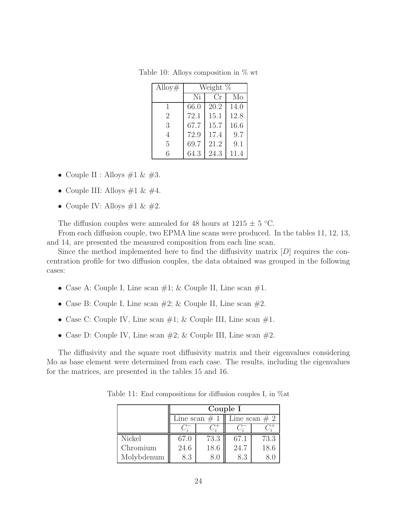| Alloy#         | Weight % |      |      |  |  |
|----------------|----------|------|------|--|--|
|                | Ni       | Cr   | Mo   |  |  |
| 1              | 66.0     | 20.2 | 14.0 |  |  |
| $\overline{2}$ | 72.1     | 15.1 | 12.8 |  |  |
| 3              | 67.7     | 15.7 | 16.6 |  |  |
| 4              | 72.9     | 17.4 | 9.7  |  |  |
| 5              | 69.7     | 21.2 | 9.1  |  |  |
| 6              | 64.3     | 24.3 | 11.4 |  |  |

Table 10: Alloys composition in % wt

- Couple II : Alloys  $\#1 \& \#3$ .
- $\bullet\,$  Couple III: Alloys #1 & #4.
- Couple IV: Alloys  $\#1 \& \#2$ .

The diffusion couples were annealed for 48 hours at  $1215 \pm 5$  °C.

From each diffusion couple, two EPMA line scans were produced. In the tables 11, 12, 13, and 14, are presented the measured composition from each line scan.

Since the method implemented here to find the diffusivity matrix  $[D]$  requires the concentration profile for two diffusion couples, the data obtained was grouped in the following cases:

- Case A: Couple I, Line scan  $\#1$ ; & Couple II, Line scan  $\#1$ .
- Case B: Couple I, Line scan  $\#2$ ; & Couple II, Line scan  $\#2$ .
- Case C: Couple IV, Line scan  $\#1$ ; & Couple III, Line scan  $\#1$ .
- Case D: Couple IV, Line scan  $\#2$ ; & Couple III, Line scan  $\#2$ .

The diffusivity and the square root diffusivity matrix and their eigenvalues considering Mo as base element were determined from each case. The results, including the eigenvalues for the matrices, are presented in the tables 15 and 16.

|            | Couple I |                 |      |                 |  |  |  |
|------------|----------|-----------------|------|-----------------|--|--|--|
|            |          | Line scan $# 1$ |      | Line scan $# 2$ |  |  |  |
|            |          |                 |      |                 |  |  |  |
| Nickel     | 67.0     | 73.3            | 67.1 | 73.3            |  |  |  |
| Chromium   | 24.6     | 18.6            | 24.7 | 18.6            |  |  |  |
| Molybdenum | 8.3      | 8.0             | 8.3  |                 |  |  |  |

Table 11: End compositions for diffusion couples I, in %at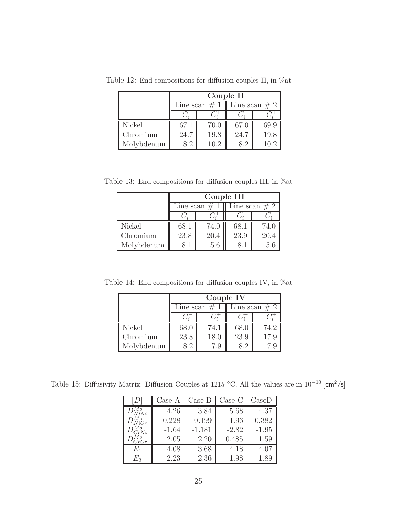|            | Couple II |                  |                 |      |  |  |  |
|------------|-----------|------------------|-----------------|------|--|--|--|
|            |           | Line scan $\# 1$ | Line scan $# 2$ |      |  |  |  |
|            |           |                  |                 |      |  |  |  |
| Nickel     | 67.1      | 70.0             | 67.0            | 69.9 |  |  |  |
| Chromium   | 24.7      | 19.8             | 24.7            | 19.8 |  |  |  |
| Molybdenum | 82        | 10.2             | 82              | 10.2 |  |  |  |

Table 12: End compositions for diffusion couples II, in %at

Table 13: End compositions for diffusion couples III, in %at

|            | Couple III      |      |                 |      |
|------------|-----------------|------|-----------------|------|
|            | Line scan $# 1$ |      | Line scan $# 2$ |      |
|            |                 |      |                 |      |
| Nickel     | 68.1            | 74.0 | 68.1            | 74.0 |
| Chromium   | 23.8            | 20.4 | 23.9            | 20.4 |
| Molybdenum | 81              | 5.6  | 81              | 5.6  |

Table 14: End compositions for diffusion couples IV, in %at

|            | Couple IV       |      |                 |      |
|------------|-----------------|------|-----------------|------|
|            | Line scan $# 1$ |      | Line scan $# 2$ |      |
|            |                 |      |                 |      |
| Nickel     | 68.0            | 74.1 | 68.0            | 74.2 |
| Chromium   | 23.8            | 18.0 | 23.9            | 17.9 |
| Molybdenum | 82              | 7.9  | 82              |      |

Table 15: Diffusivity Matrix: Diffusion Couples at 1215 °C. All the values are in  $10^{-10}$  [cm<sup>2</sup>/s]

|                 | Case A  | Case B   | Case C  | $\text{Case}$ |
|-----------------|---------|----------|---------|---------------|
| NiNi            | 4.26    | 3.84     | 5.68    | 4.37          |
| $D^{Mo}_{NiCr}$ | 0.228   | 0.199    | 1.96    | 0.382         |
| $D_{CrNi}^{Mo}$ | $-1.64$ | $-1.181$ | $-2.82$ | $-1.95$       |
| $V_{CrCr}$      | 2.05    | 2.20     | 0.485   | 1.59          |
| $E_1$           | 4.08    | 3.68     | 4.18    | 4.07          |
| E2              | 2.23    | 2.36     | 1.98    | 1.89          |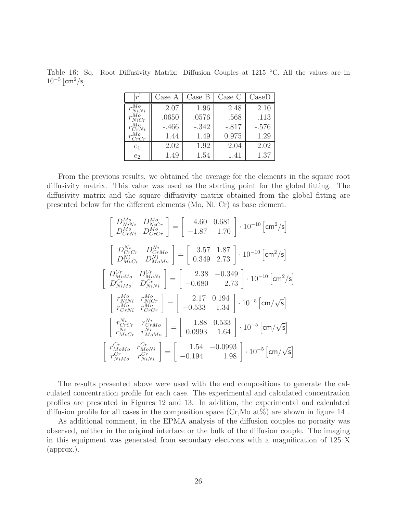Table 16: Sq. Root Diffusivity Matrix: Diffusion Couples at 1215 ◦C. All the values are in  $10^{-5}$   $\text{cm}^2/\text{s}$ 

|                  | Case A  | Case B  | Case C  | $\text{Case}$ |
|------------------|---------|---------|---------|---------------|
| $^{\prime}$ NiNi | 2.07    | 1.96    | 2.48    | 2.10          |
| $r_{NiCr}$       | .0650   | .0576   | .568    | .113          |
| $r^{Mo}_{CrNi}$  | $-.466$ | $-.342$ | $-.817$ | $-.576$       |
| CrCr             | 1.44    | 1.49    | 0.975   | 1.29          |
| e <sub>1</sub>   | 2.02    | 1.92    | 2.04    | 2.02          |
| $e_2$            | 1.49    | 1.54    | 1.41    | 1.37          |

From the previous results, we obtained the average for the elements in the square root diffusivity matrix. This value was used as the starting point for the global fitting. The diffusivity matrix and the square diffusivity matrix obtained from the global fitting are presented below for the different elements (Mo, Ni, Cr) as base element.

$$
\begin{bmatrix}\nD_{Ni}^{Mo} & D_{Ni}^{Mo} \\
D_{CrNi}^{Mo} & D_{CrCr}^{Mo}\n\end{bmatrix} = \begin{bmatrix}\n4.60 & 0.681 \\
-1.87 & 1.70\n\end{bmatrix} \cdot 10^{-10} [\text{cm}^2/\text{s}]
$$
\n
$$
\begin{bmatrix}\nD_{Cr}^{Ni} & D_{CrMo}^{Ni} \\
D_{MoCr}^{Ni} & D_{MoMo}^{Ni}\n\end{bmatrix} = \begin{bmatrix}\n3.57 & 1.87 \\
0.349 & 2.73\n\end{bmatrix} \cdot 10^{-10} [\text{cm}^2/\text{s}]
$$
\n
$$
\begin{bmatrix}\nD_{MoMo}^{Cr} & D_{MoNi}^{Cr} \\
D_{NiMo}^{Cr} & D_{NiNi}^{Cr}\n\end{bmatrix} = \begin{bmatrix}\n2.38 & -0.349 \\
-0.680 & 2.73\n\end{bmatrix} \cdot 10^{-10} [\text{cm}^2/\text{s}]
$$
\n
$$
\begin{bmatrix}\nr_{NiNi}^{Mo} & r_{NiCr}^{Mo} \\
r_{CrNi}^{Mo} & r_{CrCr}^{Mo}\n\end{bmatrix} = \begin{bmatrix}\n2.17 & 0.194 \\
-0.533 & 1.34\n\end{bmatrix} \cdot 10^{-5} [\text{cm}/\sqrt{\text{s}}]
$$
\n
$$
\begin{bmatrix}\nr_{Cr}^{Ni} & r_{Ni}^{Ni} \\
r_{MoCr}^{Ni} & r_{MoMo}^{Ni}\n\end{bmatrix} = \begin{bmatrix}\n1.88 & 0.533 \\
0.0993 & 1.64\n\end{bmatrix} \cdot 10^{-5} [\text{cm}/\sqrt{\text{s}}]
$$
\n
$$
\begin{bmatrix}\nr_{CrMo}^{Cr} & r_{MoNi}^{Cr} \\
r_{NiMo}^{Cr} & r_{NiNi}^{Cr}\n\end{bmatrix} = \begin{bmatrix}\n1.54 & -0.0993 \\
-0.194 & 1.98\n\end{bmatrix} \cdot 10^{-5} [\text{cm}/\sqrt{\text{s}}]
$$

The results presented above were used with the end compositions to generate the calculated concentration profile for each case. The experimental and calculated concentration profiles are presented in Figures 12 and 13. In addition, the experimental and calculated diffusion profile for all cases in the composition space  $(Cr, Mo \, \text{at} \%)$  are shown in figure 14.

As additional comment, in the EPMA analysis of the diffusion couples no porosity was observed, neither in the original interface or the bulk of the diffusion couple. The imaging in this equipment was generated from secondary electrons with a magnification of 125 X (approx.).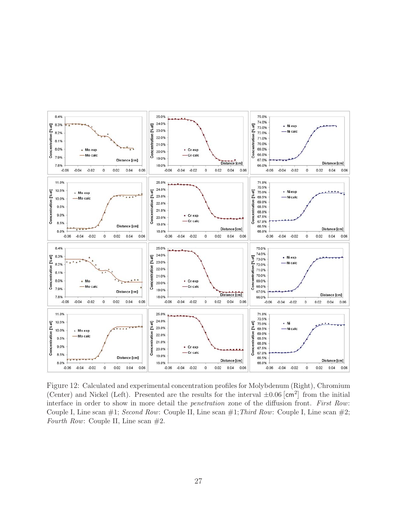

Figure 12: Calculated and experimental concentration profiles for Molybdenum (Right), Chromium (Center) and Nickel (Left). Presented are the results for the interval  $\pm 0.06$   $\text{[cm}^2\text{]}$  from the initial interface in order to show in more detail the *penetration* zone of the diffusion front. *First Row*: Couple I, Line scan #1; *Second Row*: Couple II, Line scan #1;*Third Row*: Couple I, Line scan #2; *Fourth Row:* Couple II, Line scan  $#2$ .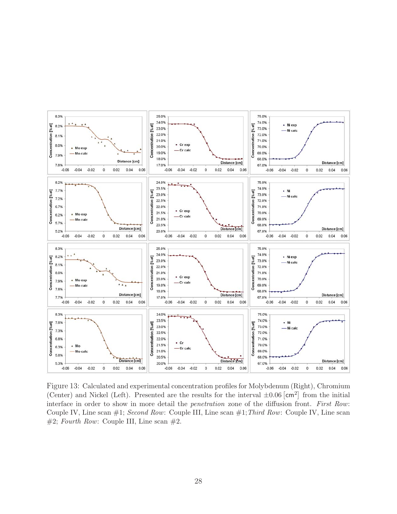

Figure 13: Calculated and experimental concentration profiles for Molybdenum (Right), Chromium (Center) and Nickel (Left). Presented are the results for the interval  $\pm 0.06$   $\text{[cm}^2\text{]}$  from the initial interface in order to show in more detail the *penetration* zone of the diffusion front. *First Row*: Couple IV, Line scan #1; *Second Row*: Couple III, Line scan #1;*Third Row*: Couple IV, Line scan  $#2$ ; *Fourth Row*: Couple III, Line scan  $#2$ .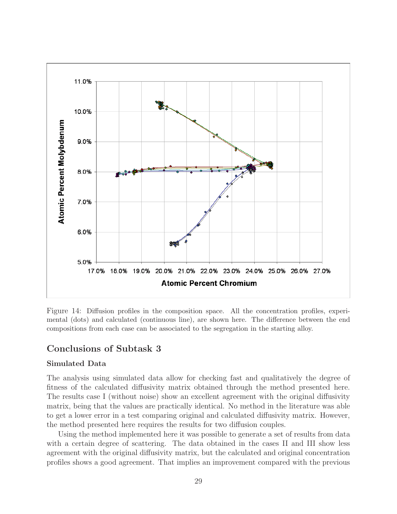

Figure 14: Diffusion profiles in the composition space. All the concentration profiles, experimental (dots) and calculated (continuous line), are shown here. The difference between the end compositions from each case can be associated to the segregation in the starting alloy.

### **Conclusions of Subtask 3**

### **Simulated Data**

The analysis using simulated data allow for checking fast and qualitatively the degree of fitness of the calculated diffusivity matrix obtained through the method presented here. The results case I (without noise) show an excellent agreement with the original diffusivity matrix, being that the values are practically identical. No method in the literature was able to get a lower error in a test comparing original and calculated diffusivity matrix. However, the method presented here requires the results for two diffusion couples.

Using the method implemented here it was possible to generate a set of results from data with a certain degree of scattering. The data obtained in the cases II and III show less agreement with the original diffusivity matrix, but the calculated and original concentration profiles shows a good agreement. That implies an improvement compared with the previous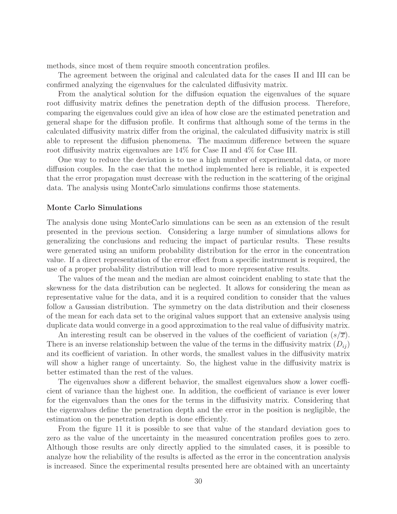methods, since most of them require smooth concentration profiles.

The agreement between the original and calculated data for the cases II and III can be confirmed analyzing the eigenvalues for the calculated diffusivity matrix.

From the analytical solution for the diffusion equation the eigenvalues of the square root diffusivity matrix defines the penetration depth of the diffusion process. Therefore, comparing the eigenvalues could give an idea of how close are the estimated penetration and general shape for the diffusion profile. It confirms that although some of the terms in the calculated diffusivity matrix differ from the original, the calculated diffusivity matrix is still able to represent the diffusion phenomena. The maximum difference between the square root diffusivity matrix eigenvalues are 14% for Case II and 4% for Case III.

One way to reduce the deviation is to use a high number of experimental data, or more diffusion couples. In the case that the method implemented here is reliable, it is expected that the error propagation must decrease with the reduction in the scattering of the original data. The analysis using MonteCarlo simulations confirms those statements.

#### **Monte Carlo Simulations**

The analysis done using MonteCarlo simulations can be seen as an extension of the result presented in the previous section. Considering a large number of simulations allows for generalizing the conclusions and reducing the impact of particular results. These results were generated using an uniform probability distribution for the error in the concentration value. If a direct representation of the error effect from a specific instrument is required, the use of a proper probability distribution will lead to more representative results.

The values of the mean and the median are almost coincident enabling to state that the skewness for the data distribution can be neglected. It allows for considering the mean as representative value for the data, and it is a required condition to consider that the values follow a Gaussian distribution. The symmetry on the data distribution and their closeness of the mean for each data set to the original values support that an extensive analysis using duplicate data would converge in a good approximation to the real value of diffusivity matrix.

An interesting result can be observed in the values of the coefficient of variation  $(s/\overline{x})$ . There is an inverse relationship between the value of the terms in the diffusivity matrix  $(D_{ij})$ and its coefficient of variation. In other words, the smallest values in the diffusivity matrix will show a higher range of uncertainty. So, the highest value in the diffusivity matrix is better estimated than the rest of the values.

The eigenvalues show a different behavior, the smallest eigenvalues show a lower coefficient of variance than the highest one. In addition, the coefficient of variance is ever lower for the eigenvalues than the ones for the terms in the diffusivity matrix. Considering that the eigenvalues define the penetration depth and the error in the position is negligible, the estimation on the penetration depth is done efficiently.

From the figure 11 it is possible to see that value of the standard deviation goes to zero as the value of the uncertainty in the measured concentration profiles goes to zero. Although those results are only directly applied to the simulated cases, it is possible to analyze how the reliability of the results is affected as the error in the concentration analysis is increased. Since the experimental results presented here are obtained with an uncertainty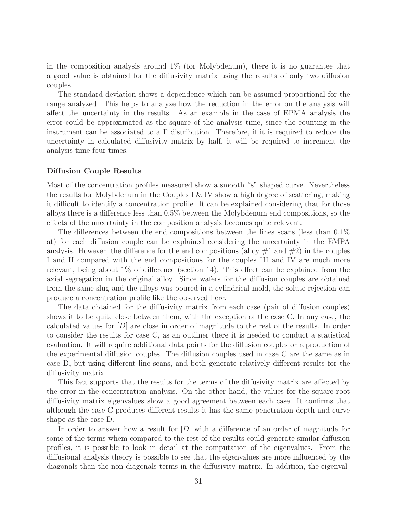in the composition analysis around 1% (for Molybdenum), there it is no guarantee that a good value is obtained for the diffusivity matrix using the results of only two diffusion couples.

The standard deviation shows a dependence which can be assumed proportional for the range analyzed. This helps to analyze how the reduction in the error on the analysis will affect the uncertainty in the results. As an example in the case of EPMA analysis the error could be approximated as the square of the analysis time, since the counting in the instrument can be associated to a  $\Gamma$  distribution. Therefore, if it is required to reduce the uncertainty in calculated diffusivity matrix by half, it will be required to increment the analysis time four times.

#### **Diffusion Couple Results**

Most of the concentration profiles measured show a smooth "s" shaped curve. Nevertheless the results for Molybdenum in the Couples I & IV show a high degree of scattering, making it difficult to identify a concentration profile. It can be explained considering that for those alloys there is a difference less than 0.5% between the Molybdenum end compositions, so the effects of the uncertainty in the composition analysis becomes quite relevant.

The differences between the end compositions between the lines scans (less than 0.1% at) for each diffusion couple can be explained considering the uncertainty in the EMPA analysis. However, the difference for the end compositions (alloy  $\#1$  and  $\#2$ ) in the couples I and II compared with the end compositions for the couples III and IV are much more relevant, being about 1% of difference (section 14). This effect can be explained from the axial segregation in the original alloy. Since wafers for the diffusion couples are obtained from the same slug and the alloys was poured in a cylindrical mold, the solute rejection can produce a concentration profile like the observed here.

The data obtained for the diffusivity matrix from each case (pair of diffusion couples) shows it to be quite close between them, with the exception of the case C. In any case, the calculated values for  $[D]$  are close in order of magnitude to the rest of the results. In order to consider the results for case C, as an outliner there it is needed to conduct a statistical evaluation. It will require additional data points for the diffusion couples or reproduction of the experimental diffusion couples. The diffusion couples used in case C are the same as in case D, but using different line scans, and both generate relatively different results for the diffusivity matrix.

This fact supports that the results for the terms of the diffusivity matrix are affected by the error in the concentration analysis. On the other hand, the values for the square root diffusivity matrix eigenvalues show a good agreement between each case. It confirms that although the case C produces different results it has the same penetration depth and curve shape as the case D.

In order to answer how a result for [D] with a difference of an order of magnitude for some of the terms whem compared to the rest of the results could generate similar diffusion profiles, it is possible to look in detail at the computation of the eigenvalues. From the diffusional analysis theory is possible to see that the eigenvalues are more influenced by the diagonals than the non-diagonals terms in the diffusivity matrix. In addition, the eigenval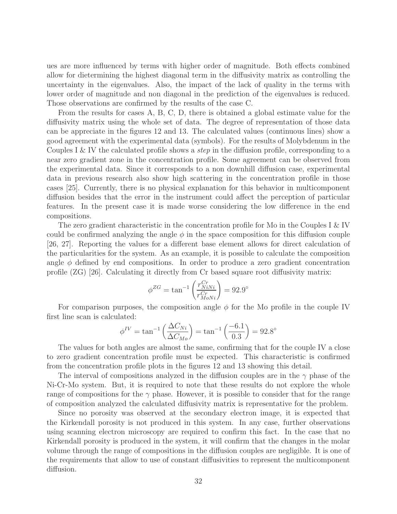ues are more influenced by terms with higher order of magnitude. Both effects combined allow for dietermining the highest diagonal term in the diffusivity matrix as controlling the uncertainty in the eigenvalues. Also, the impact of the lack of quality in the terms with lower order of magnitude and non diagonal in the prediction of the eigenvalues is reduced. Those observations are confirmed by the results of the case C.

From the results for cases A, B, C, D, there is obtained a global estimate value for the diffusivity matrix using the whole set of data. The degree of representation of those data can be appreciate in the figures 12 and 13. The calculated values (continuous lines) show a good agreement with the experimental data (symbols). For the results of Molybdenum in the Couples I & IV the calculated profile shows a *step* in the diffusion profile, corresponding to a near zero gradient zone in the concentration profile. Some agreement can be observed from the experimental data. Since it corresponds to a non downhill diffusion case, experimental data in previous research also show high scattering in the concentration profile in those cases [25]. Currently, there is no physical explanation for this behavior in multicomponent diffusion besides that the error in the instrument could affect the perception of particular features. In the present case it is made worse considering the low difference in the end compositions.

The zero gradient characteristic in the concentration profile for Mo in the Couples I & IV could be confirmed analyzing the angle  $\phi$  in the space composition for this diffusion couple [26, 27]. Reporting the values for a different base element allows for direct calculation of the particularities for the system. As an example, it is possible to calculate the composition angle  $\phi$  defined by end compositions. In order to produce a zero gradient concentration profile (ZG) [26]. Calculating it directly from Cr based square root diffusivity matrix:

$$
\phi^{ZG} = \tan^{-1} \left( \frac{r_{NiNi}^{Cr}}{r_{MoNi}^{Cr}} \right) = 92.9^{\circ}
$$

For comparison purposes, the composition angle  $\phi$  for the Mo profile in the couple IV first line scan is calculated:

$$
\phi^{IV} = \tan^{-1} \left( \frac{\Delta C_{Ni}}{\Delta C_{Mo}} \right) = \tan^{-1} \left( \frac{-6.1}{0.3} \right) = 92.8^{\circ}
$$

The values for both angles are almost the same, confirming that for the couple IV a close to zero gradient concentration profile must be expected. This characteristic is confirmed from the concentration profile plots in the figures 12 and 13 showing this detail.

The interval of compositions analyzed in the diffusion couples are in the  $\gamma$  phase of the Ni-Cr-Mo system. But, it is required to note that these results do not explore the whole range of compositions for the  $\gamma$  phase. However, it is possible to consider that for the range of composition analyzed the calculated diffusivity matrix is representative for the problem.

Since no porosity was observed at the secondary electron image, it is expected that the Kirkendall porosity is not produced in this system. In any case, further observations using scanning electron microscopy are required to confirm this fact. In the case that no Kirkendall porosity is produced in the system, it will confirm that the changes in the molar volume through the range of compositions in the diffusion couples are negligible. It is one of the requirements that allow to use of constant diffusivities to represent the multicomponent diffusion.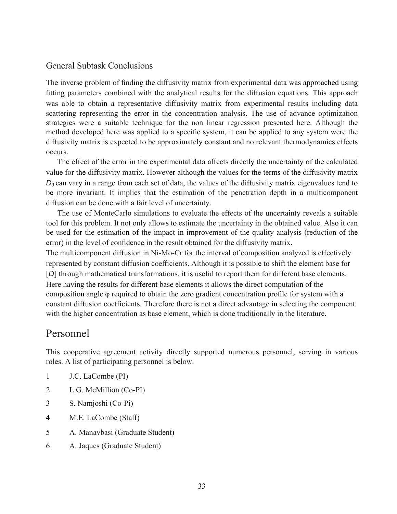### General Subtask Conclusions

The inverse problem of finding the diffusivity matrix from experimental data was approached using fitting parameters combined with the analytical results for the diffusion equations. This approach was able to obtain a representative diffusivity matrix from experimental results including data scattering representing the error in the concentration analysis. The use of advance optimization strategies were a suitable technique for the non linear regression presented here. Although the method developed here was applied to a specific system, it can be applied to any system were the diffusivity matrix is expected to be approximately constant and no relevant thermodynamics effects occurs.

The effect of the error in the experimental data affects directly the uncertainty of the calculated value for the diffusivity matrix. However although the values for the terms of the diffusivity matrix *Di*j can vary in a range from each set of data, the values of the diffusivity matrix eigenvalues tend to be more invariant. It implies that the estimation of the penetration depth in a multicomponent diffusion can be done with a fair level of uncertainty.

The use of MonteCarlo simulations to evaluate the effects of the uncertainty reveals a suitable tool for this problem. It not only allows to estimate the uncertainty in the obtained value. Also it can be used for the estimation of the impact in improvement of the quality analysis (reduction of the error) in the level of confidence in the result obtained for the diffusivity matrix.

The multicomponent diffusion in Ni-Mo-Cr for the interval of composition analyzed is effectively represented by constant diffusion coefficients. Although it is possible to shift the element base for [D] through mathematical transformations, it is useful to report them for different base elements. Here having the results for different base elements it allows the direct computation of the composition angle φ required to obtain the zero gradient concentration profile for system with a constant diffusion coefficients. Therefore there is not a direct advantage in selecting the component with the higher concentration as base element, which is done traditionally in the literature.

# Personnel

This cooperative agreement activity directly supported numerous personnel, serving in various roles. A list of participating personnel is below.

- 1 J.C. LaCombe (PI)
- 2 L.G. McMillion (Co-PI)
- 3 S. Namjoshi (Co-Pi)
- 4 M.E. LaCombe (Staff)
- 5 A. Manavbasi (Graduate Student)
- 6 A. Jaques (Graduate Student)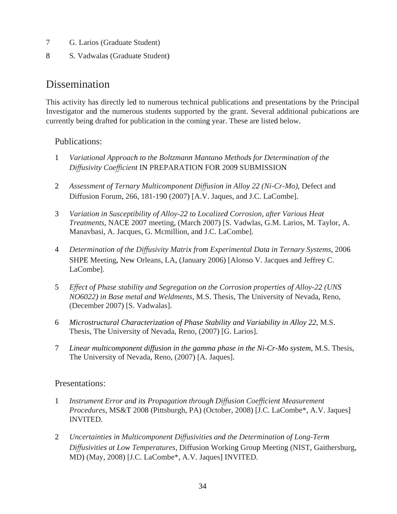- 7 G. Larios (Graduate Student)
- 8 S. Vadwalas (Graduate Student)

# **Dissemination**

This activity has directly led to numerous technical publications and presentations by the Principal Investigator and the numerous students supported by the grant. Several additional pubications are currently being drafted for publication in the coming year. These are listed below.

# Publications:

- 1 *Variational Approach to the Boltzmann Mantano Methods for Determination of the Diffusivity Coefficient* IN PREPARATION FOR 2009 SUBMISSION
- 2 *Assessment of Ternary Multicomponent Diffusion in Alloy 22 (Ni-Cr-Mo),* Defect and Diffusion Forum, 266, 181-190 (2007) [A.V. Jaques, and J.C. LaCombe].
- 3 *Variation in Susceptibility of Alloy-22 to Localized Corrosion, after Various Heat Treatments,* NACE 2007 meeting, (March 2007) [S. Vadwlas, G.M. Larios, M. Taylor, A. Manavbasi, A. Jacques, G. Mcmillion, and J.C. LaCombe].
- 4 *Determination of the Diffusivity Matrix from Experimental Data in Ternary Systems,* 2006 SHPE Meeting, New Orleans, LA, (January 2006) [Alonso V. Jacques and Jeffrey C. LaCombe].
- 5 *Effect of Phase stability and Segregation on the Corrosion properties of Alloy-22 (UNS NO6022) in Base metal and Weldments,* M.S. Thesis, The University of Nevada, Reno, (December 2007) [S. Vadwalas].
- 6 *Microstructural Characterization of Phase Stability and Variability in Alloy 22*, M.S. Thesis, The University of Nevada, Reno, (2007) [G. Larios].
- 7 *Linear multicomponent diffusion in the gamma phase in the Ni-Cr-Mo system*, M.S. Thesis, The University of Nevada, Reno, (2007) [A. Jaques].

### Presentations:

- 1 *Instrument Error and its Propagation through Diffusion Coefficient Measurement Procedures,* MS&T 2008 (Pittsburgh, PA) (October, 2008) [J.C. LaCombe\*, A.V. Jaques] INVITED.
- 2 *Uncertainties in Multicomponent Diffusivities and the Determination of Long-Term Diffusivities at Low Temperatures,* Diffusion Working Group Meeting (NIST, Gaithersburg, MD) (May, 2008) [J.C. LaCombe\*, A.V. Jaques] INVITED.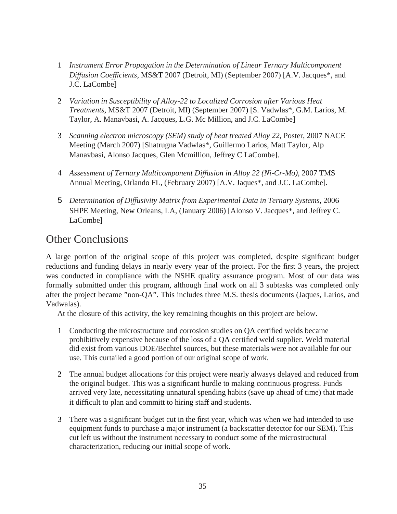- 1 *Instrument Error Propagation in the Determination of Linear Ternary Multicomponent Diffusion Coefficients,* MS&T 2007 (Detroit, MI) (September 2007) [A.V. Jacques\*, and J.C. LaCombe]
- 2 *Variation in Susceptibility of Alloy-22 to Localized Corrosion after Various Heat Treatments,* MS&T 2007 (Detroit, MI) (September 2007) [S. Vadwlas\*, G.M. Larios, M. Taylor, A. Manavbasi, A. Jacques, L.G. Mc Million, and J.C. LaCombe]
- 3 *Scanning electron microscopy (SEM) study of heat treated Alloy 22*, Poster, 2007 NACE Meeting (March 2007) [Shatrugna Vadwlas\*, Guillermo Larios, Matt Taylor, Alp Manavbasi, Alonso Jacques, Glen Mcmillion, Jeffrey C LaCombe].
- 4 *Assessment of Ternary Multicomponent Diffusion in Alloy 22 (Ni-Cr-Mo),* 2007 TMS Annual Meeting, Orlando FL, (February 2007) [A.V. Jaques\*, and J.C. LaCombe].
- 5 *Determination of Diffusivity Matrix from Experimental Data in Ternary Systems,* 2006 SHPE Meeting, New Orleans, LA, (January 2006) [Alonso V. Jacques\*, and Jeffrey C. LaCombe]

# Other Conclusions

A large portion of the original scope of this project was completed, despite significant budget reductions and funding delays in nearly every year of the project. For the first 3 years, the project was conducted in compliance with the NSHE quality assurance program. Most of our data was formally submitted under this program, although final work on all 3 subtasks was completed only after the project became "non-QA". This includes three M.S. thesis documents (Jaques, Larios, and Vadwalas).

At the closure of this activity, the key remaining thoughts on this project are below.

- 1 Conducting the microstructure and corrosion studies on QA certified welds became prohibitively expensive because of the loss of a QA certified weld supplier. Weld material did exist from various DOE/Bechtel sources, but these materials were not available for our use. This curtailed a good portion of our original scope of work.
- 2 The annual budget allocations for this project were nearly alwasys delayed and reduced from the original budget. This was a significant hurdle to making continuous progress. Funds arrived very late, necessitating unnatural spending habits (save up ahead of time) that made it difficult to plan and committ to hiring staff and students.
- 3 There was a significant budget cut in the first year, which was when we had intended to use equipment funds to purchase a major instrument (a backscatter detector for our SEM). This cut left us without the instrument necessary to conduct some of the microstructural characterization, reducing our initial scope of work.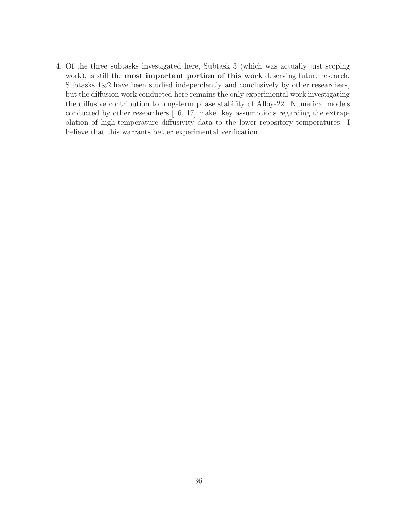4. Of the three subtasks investigated here, Subtask 3 (which was actually just scoping work), is still the **most important portion of this work** deserving future research. Subtasks 1&2 have been studied independently and conclusively by other researchers, but the diffusion work conducted here remains the only experimental work investigating the diffusive contribution to long-term phase stability of Alloy-22. Numerical models conducted by other researchers  $[16, 17]$  make key assumptions regarding the extrapolation of high-temperature diffusivity data to the lower repository temperatures. I believe that this warrants better experimental verification.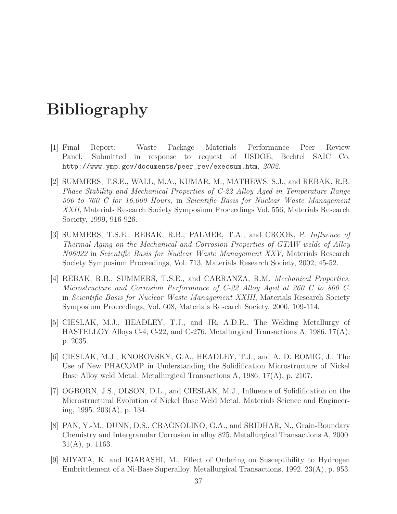# **Bibliography**

- [1] Final Report: Waste Package Materials Performance Peer Review Panel, Submitted in response to request of USDOE, Bechtel SAIC Co. http://www.ymp.gov/documents/peer\_rev/execsum.htm, 2002.
- [2] SUMMERS, T.S.E., WALL, M.A., KUMAR, M., MATHEWS, S.J., and REBAK, R.B. Phase Stability and Mechanical Properties of C-22 Alloy Aged in Temperature Range 590 to 760 C for 16,000 Hours, in Scientific Basis for Nuclear Waste Management XXII, Materials Research Society Symposium Proceedings Vol. 556, Materials Research Society, 1999, 916-926.
- [3] SUMMERS, T.S.E., REBAK, R.B., PALMER, T.A., and CROOK, P. Influence of Thermal Aging on the Mechanical and Corrosion Properties of GTAW welds of Alloy N06022 in Scientific Basis for Nuclear Waste Management XXV, Materials Research Society Symposium Proceedings, Vol. 713, Materials Research Society, 2002, 45-52.
- [4] REBAK, R.B., SUMMERS, T.S.E., and CARRANZA, R.M. Mechanical Properties, Microstructure and Corrosion Performance of C-22 Alloy Aged at 260 C to 800 C. in Scientific Basis for Nuclear Waste Management XXIII, Materials Research Society Symposium Proceedings, Vol. 608, Materials Research Society, 2000, 109-114.
- [5] CIESLAK, M.J., HEADLEY, T.J., and JR, A.D.R., The Welding Metallurgy of HASTELLOY Alloys C-4, C-22, and C-276. Metallurgical Transactions A, 1986. 17(A), p. 2035.
- [6] CIESLAK, M.J., KNOROVSKY, G.A., HEADLEY, T.J., and A. D. ROMIG, J., The Use of New PHACOMP in Understanding the Solidification Microstructure of Nickel Base Alloy weld Metal. Metallurgical Transactions A, 1986. 17(A), p. 2107.
- [7] OGBORN, J.S., OLSON, D.L., and CIESLAK, M.J., Influence of Solidification on the Microstructural Evolution of Nickel Base Weld Metal. Materials Science and Engineering, 1995. 203(A), p. 134.
- [8] PAN, Y.-M., DUNN, D.S., CRAGNOLINO, G.A., and SRIDHAR, N., Grain-Boundary Chemistry and Intergranular Corrosion in alloy 825. Metallurgical Transactions A, 2000. 31(A), p. 1163.
- [9] MIYATA, K. and IGARASHI, M., Effect of Ordering on Susceptibility to Hydrogen Embrittlement of a Ni-Base Superalloy. Metallurgical Transactions, 1992. 23(A), p. 953.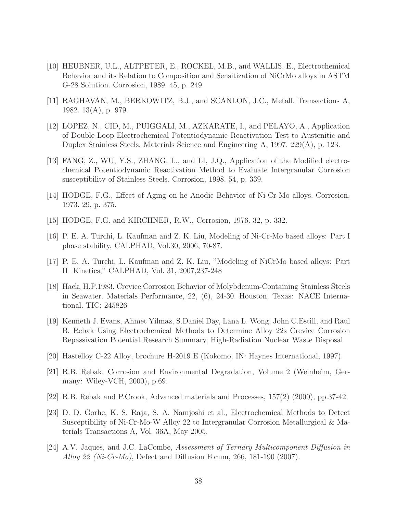- [10] HEUBNER, U.L., ALTPETER, E., ROCKEL, M.B., and WALLIS, E., Electrochemical Behavior and its Relation to Composition and Sensitization of NiCrMo alloys in ASTM G-28 Solution. Corrosion, 1989. 45, p. 249.
- [11] RAGHAVAN, M., BERKOWITZ, B.J., and SCANLON, J.C., Metall. Transactions A, 1982. 13(A), p. 979.
- [12] LOPEZ, N., CID, M., PUIGGALI, M., AZKARATE, I., and PELAYO, A., Application of Double Loop Electrochemical Potentiodynamic Reactivation Test to Austenitic and Duplex Stainless Steels. Materials Science and Engineering A, 1997. 229(A), p. 123.
- [13] FANG, Z., WU, Y.S., ZHANG, L., and LI, J.Q., Application of the Modified electrochemical Potentiodynamic Reactivation Method to Evaluate Intergranular Corrosion susceptibility of Stainless Steels. Corrosion, 1998. 54, p. 339.
- [14] HODGE, F.G., Effect of Aging on he Anodic Behavior of Ni-Cr-Mo alloys. Corrosion, 1973. 29, p. 375.
- [15] HODGE, F.G. and KIRCHNER, R.W., Corrosion, 1976. 32, p. 332.
- [16] P. E. A. Turchi, L. Kaufman and Z. K. Liu, Modeling of Ni-Cr-Mo based alloys: Part I phase stability, CALPHAD, Vol.30, 2006, 70-87.
- [17] P. E. A. Turchi, L. Kaufman and Z. K. Liu, "Modeling of NiCrMo based alloys: Part II Kinetics," CALPHAD, Vol. 31, 2007,237-248
- [18] Hack, H.P.1983. Crevice Corrosion Behavior of Molybdenum-Containing Stainless Steels in Seawater. Materials Performance, 22, (6), 24-30. Houston, Texas: NACE International. TIC: 245826
- [19] Kenneth J. Evans, Ahmet Yilmaz, S.Daniel Day, Lana L. Wong, John C.Estill, and Raul B. Rebak Using Electrochemical Methods to Determine Alloy 22s Crevice Corrosion Repassivation Potential Research Summary, High-Radiation Nuclear Waste Disposal.
- [20] Hastelloy C-22 Alloy, brochure H-2019 E (Kokomo, IN: Haynes International, 1997).
- [21] R.B. Rebak, Corrosion and Environmental Degradation, Volume 2 (Weinheim, Germany: Wiley-VCH, 2000), p.69.
- [22] R.B. Rebak and P.Crook, Advanced materials and Processes, 157(2) (2000), pp.37-42.
- [23] D. D. Gorhe, K. S. Raja, S. A. Namjoshi et al., Electrochemical Methods to Detect Susceptibility of Ni-Cr-Mo-W Alloy 22 to Intergranular Corrosion Metallurgical & Materials Transactions A, Vol. 36A, May 2005.
- [24] A.V. Jaques, and J.C. LaCombe, Assessment of Ternary Multicomponent Diffusion in Alloy 22 (Ni-Cr-Mo), Defect and Diffusion Forum, 266, 181-190 (2007).